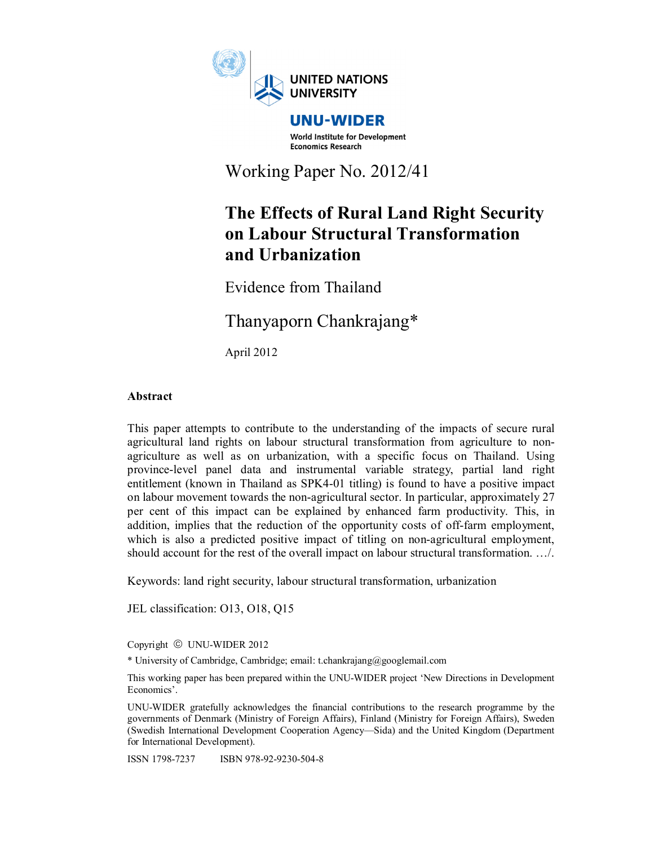

World Institute for Development **Economics Research** 

Working Paper No. 2012/41

# **The Effects of Rural Land Right Security on Labour Structural Transformation and Urbanization**

Evidence from Thailand

Thanyaporn Chankrajang\*

April 2012

# **Abstract**

This paper attempts to contribute to the understanding of the impacts of secure rural agricultural land rights on labour structural transformation from agriculture to nonagriculture as well as on urbanization, with a specific focus on Thailand. Using province-level panel data and instrumental variable strategy, partial land right entitlement (known in Thailand as SPK4-01 titling) is found to have a positive impact on labour movement towards the non-agricultural sector. In particular, approximately 27 per cent of this impact can be explained by enhanced farm productivity. This, in addition, implies that the reduction of the opportunity costs of off-farm employment, which is also a predicted positive impact of titling on non-agricultural employment, should account for the rest of the overall impact on labour structural transformation. …/.

Keywords: land right security, labour structural transformation, urbanization

JEL classification: O13, O18, Q15

Copyright © UNU-WIDER 2012

\* University of Cambridge, Cambridge; email: t.chankrajang@googlemail.com

This working paper has been prepared within the UNU-WIDER project 'New Directions in Development Economics'.

UNU-WIDER gratefully acknowledges the financial contributions to the research programme by the governments of Denmark (Ministry of Foreign Affairs), Finland (Ministry for Foreign Affairs), Sweden (Swedish International Development Cooperation Agency—Sida) and the United Kingdom (Department for International Development).

ISSN 1798-7237 ISBN 978-92-9230-504-8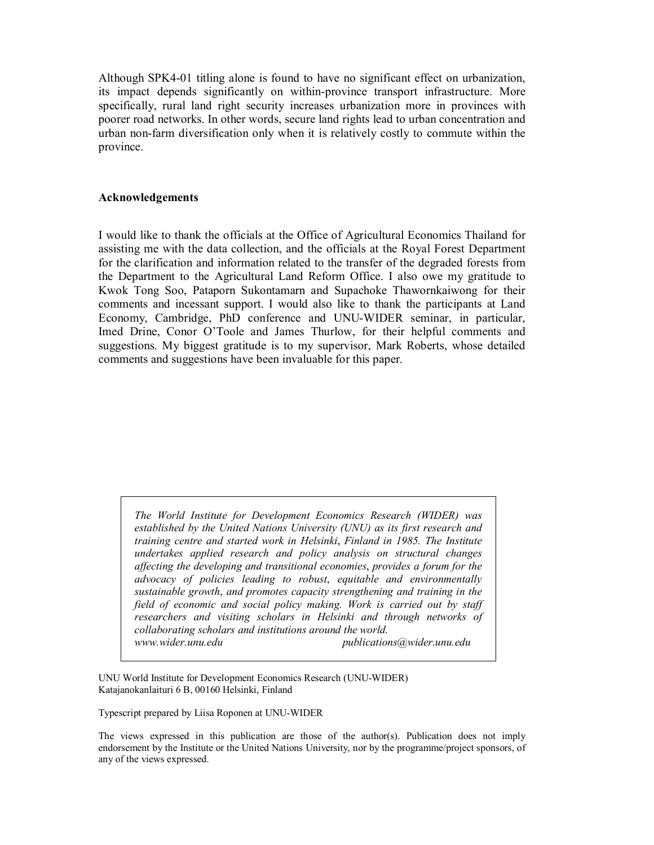Although SPK4-01 titling alone is found to have no significant effect on urbanization, its impact depends significantly on within-province transport infrastructure. More specifically, rural land right security increases urbanization more in provinces with poorer road networks. In other words, secure land rights lead to urban concentration and urban non-farm diversification only when it is relatively costly to commute within the province.

#### **Acknowledgements**

I would like to thank the officials at the Office of Agricultural Economics Thailand for assisting me with the data collection, and the officials at the Royal Forest Department for the clarification and information related to the transfer of the degraded forests from the Department to the Agricultural Land Reform Office. I also owe my gratitude to Kwok Tong Soo, Pataporn Sukontamarn and Supachoke Thawornkaiwong for their comments and incessant support. I would also like to thank the participants at Land Economy, Cambridge, PhD conference and UNU-WIDER seminar, in particular, Imed Drine, Conor O'Toole and James Thurlow, for their helpful comments and suggestions. My biggest gratitude is to my supervisor, Mark Roberts, whose detailed comments and suggestions have been invaluable for this paper.

*The World Institute for Development Economics Research (WIDER) was established by the United Nations University (UNU) as its first research and training centre and started work in Helsinki*, *Finland in 1985. The Institute undertakes applied research and policy analysis on structural changes affecting the developing and transitional economies*, *provides a forum for the advocacy of policies leading to robust*, *equitable and environmentally sustainable growth*, *and promotes capacity strengthening and training in the field of economic and social policy making. Work is carried out by staff researchers and visiting scholars in Helsinki and through networks of collaborating scholars and institutions around the world. www.wider.unu.edu publications@wider.unu.edu* 

UNU World Institute for Development Economics Research (UNU-WIDER) Katajanokanlaituri 6 B, 00160 Helsinki, Finland

Typescript prepared by Liisa Roponen at UNU-WIDER

The views expressed in this publication are those of the author(s). Publication does not imply endorsement by the Institute or the United Nations University, nor by the programme/project sponsors, of any of the views expressed.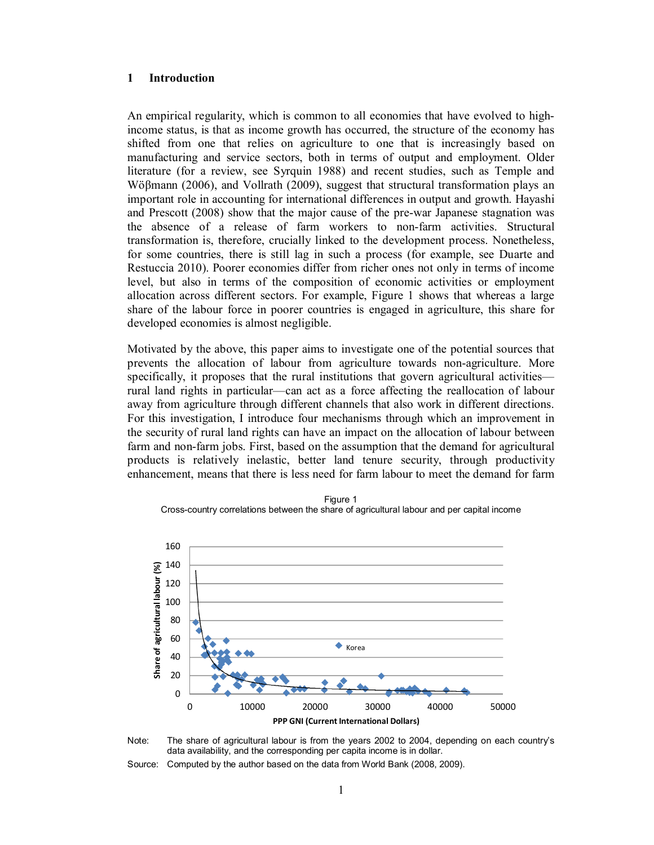## **1 Introduction**

An empirical regularity, which is common to all economies that have evolved to highincome status, is that as income growth has occurred, the structure of the economy has shifted from one that relies on agriculture to one that is increasingly based on manufacturing and service sectors, both in terms of output and employment. Older literature (for a review, see Syrquin 1988) and recent studies, such as Temple and Wöβmann (2006), and Vollrath (2009), suggest that structural transformation plays an important role in accounting for international differences in output and growth. Hayashi and Prescott (2008) show that the major cause of the pre-war Japanese stagnation was the absence of a release of farm workers to non-farm activities. Structural transformation is, therefore, crucially linked to the development process. Nonetheless, for some countries, there is still lag in such a process (for example, see Duarte and Restuccia 2010). Poorer economies differ from richer ones not only in terms of income level, but also in terms of the composition of economic activities or employment allocation across different sectors. For example, Figure 1 shows that whereas a large share of the labour force in poorer countries is engaged in agriculture, this share for developed economies is almost negligible.

Motivated by the above, this paper aims to investigate one of the potential sources that prevents the allocation of labour from agriculture towards non-agriculture. More specifically, it proposes that the rural institutions that govern agricultural activities rural land rights in particular––can act as a force affecting the reallocation of labour away from agriculture through different channels that also work in different directions. For this investigation, I introduce four mechanisms through which an improvement in the security of rural land rights can have an impact on the allocation of labour between farm and non-farm jobs. First, based on the assumption that the demand for agricultural products is relatively inelastic, better land tenure security, through productivity enhancement, means that there is less need for farm labour to meet the demand for farm



Figure 1 Cross-country correlations between the share of agricultural labour and per capital income



Source: Computed by the author based on the data from World Bank (2008, 2009).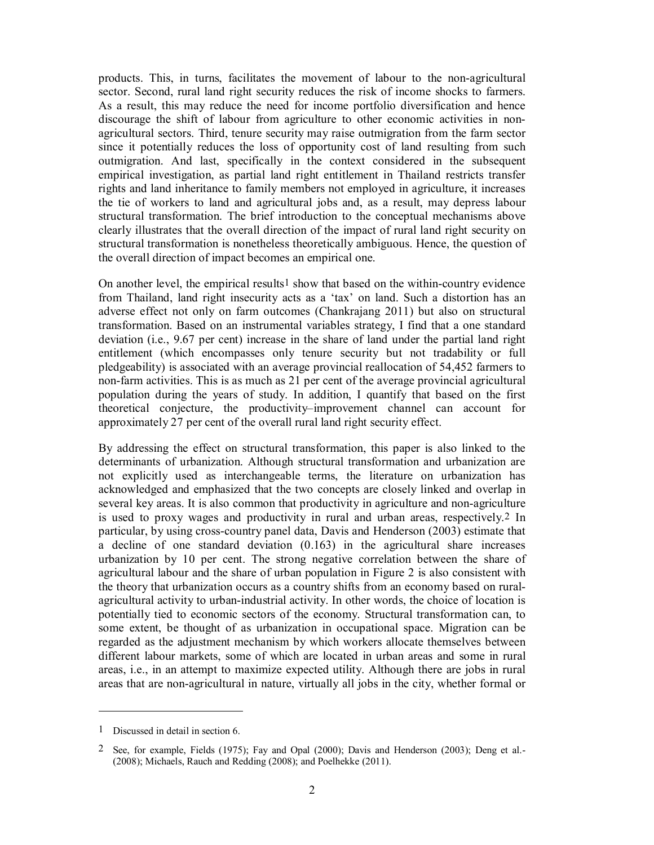products. This, in turns, facilitates the movement of labour to the non-agricultural sector. Second, rural land right security reduces the risk of income shocks to farmers. As a result, this may reduce the need for income portfolio diversification and hence discourage the shift of labour from agriculture to other economic activities in nonagricultural sectors. Third, tenure security may raise outmigration from the farm sector since it potentially reduces the loss of opportunity cost of land resulting from such outmigration. And last, specifically in the context considered in the subsequent empirical investigation, as partial land right entitlement in Thailand restricts transfer rights and land inheritance to family members not employed in agriculture, it increases the tie of workers to land and agricultural jobs and, as a result, may depress labour structural transformation. The brief introduction to the conceptual mechanisms above clearly illustrates that the overall direction of the impact of rural land right security on structural transformation is nonetheless theoretically ambiguous. Hence, the question of the overall direction of impact becomes an empirical one.

On another level, the empirical results<sup>1</sup> show that based on the within-country evidence from Thailand, land right insecurity acts as a 'tax' on land. Such a distortion has an adverse effect not only on farm outcomes (Chankrajang 2011) but also on structural transformation. Based on an instrumental variables strategy, I find that a one standard deviation (i.e., 9.67 per cent) increase in the share of land under the partial land right entitlement (which encompasses only tenure security but not tradability or full pledgeability) is associated with an average provincial reallocation of 54,452 farmers to non-farm activities. This is as much as 21 per cent of the average provincial agricultural population during the years of study. In addition, I quantify that based on the first theoretical conjecture, the productivity–improvement channel can account for approximately 27 per cent of the overall rural land right security effect.

By addressing the effect on structural transformation, this paper is also linked to the determinants of urbanization. Although structural transformation and urbanization are not explicitly used as interchangeable terms, the literature on urbanization has acknowledged and emphasized that the two concepts are closely linked and overlap in several key areas. It is also common that productivity in agriculture and non-agriculture is used to proxy wages and productivity in rural and urban areas, respectively.2 In particular, by using cross-country panel data, Davis and Henderson (2003) estimate that a decline of one standard deviation (0.163) in the agricultural share increases urbanization by 10 per cent. The strong negative correlation between the share of agricultural labour and the share of urban population in Figure 2 is also consistent with the theory that urbanization occurs as a country shifts from an economy based on ruralagricultural activity to urban-industrial activity. In other words, the choice of location is potentially tied to economic sectors of the economy. Structural transformation can, to some extent, be thought of as urbanization in occupational space. Migration can be regarded as the adjustment mechanism by which workers allocate themselves between different labour markets, some of which are located in urban areas and some in rural areas, i.e., in an attempt to maximize expected utility. Although there are jobs in rural areas that are non-agricultural in nature, virtually all jobs in the city, whether formal or

-

<sup>1</sup> Discussed in detail in section 6.

<sup>2</sup> See, for example, Fields (1975); Fay and Opal (2000); Davis and Henderson (2003); Deng et al.- (2008); Michaels, Rauch and Redding (2008); and Poelhekke (2011).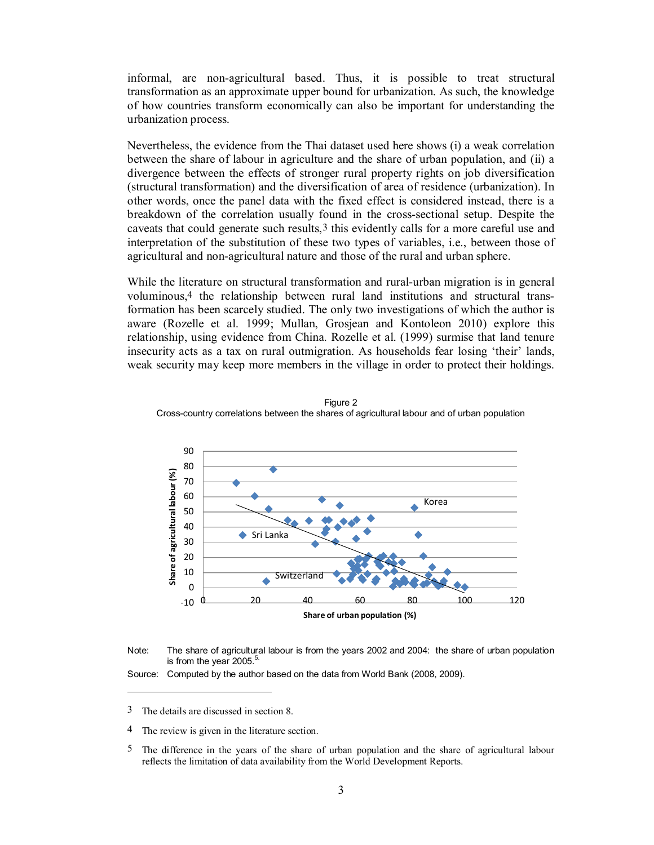informal, are non-agricultural based. Thus, it is possible to treat structural transformation as an approximate upper bound for urbanization. As such, the knowledge of how countries transform economically can also be important for understanding the urbanization process.

Nevertheless, the evidence from the Thai dataset used here shows (i) a weak correlation between the share of labour in agriculture and the share of urban population, and (ii) a divergence between the effects of stronger rural property rights on job diversification (structural transformation) and the diversification of area of residence (urbanization). In other words, once the panel data with the fixed effect is considered instead, there is a breakdown of the correlation usually found in the cross-sectional setup. Despite the caveats that could generate such results,3 this evidently calls for a more careful use and interpretation of the substitution of these two types of variables, i.e., between those of agricultural and non-agricultural nature and those of the rural and urban sphere.

While the literature on structural transformation and rural-urban migration is in general voluminous,4 the relationship between rural land institutions and structural transformation has been scarcely studied. The only two investigations of which the author is aware (Rozelle et al. 1999; Mullan, Grosjean and Kontoleon 2010) explore this relationship, using evidence from China. Rozelle et al. (1999) surmise that land tenure insecurity acts as a tax on rural outmigration. As households fear losing 'their' lands, weak security may keep more members in the village in order to protect their holdings.



Figure 2 Cross-country correlations between the shares of agricultural labour and of urban population



Source: Computed by the author based on the data from World Bank (2008, 2009).

 $\overline{a}$ 

<sup>3</sup> The details are discussed in section 8.

<sup>4</sup> The review is given in the literature section.

<sup>5</sup> The difference in the years of the share of urban population and the share of agricultural labour reflects the limitation of data availability from the World Development Reports.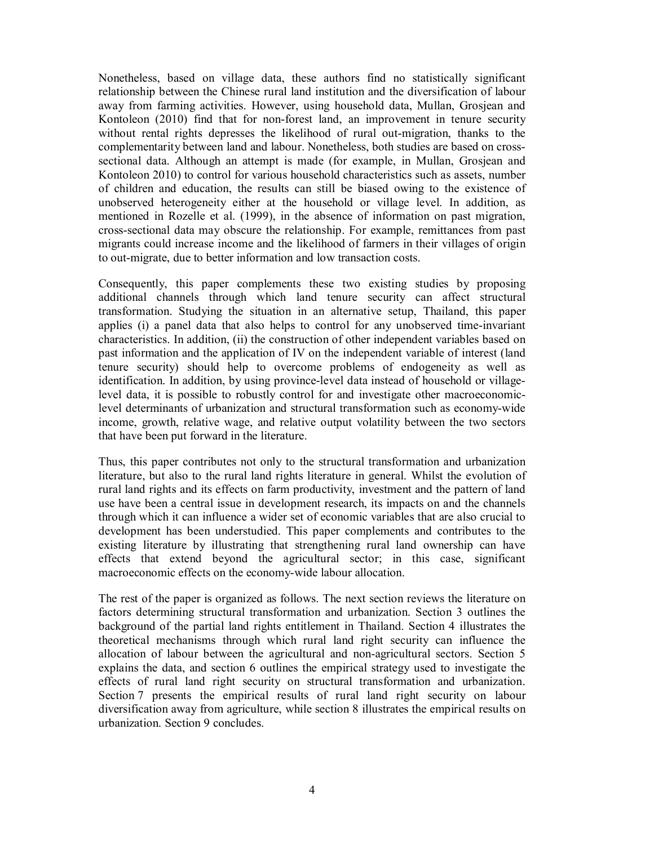Nonetheless, based on village data, these authors find no statistically significant relationship between the Chinese rural land institution and the diversification of labour away from farming activities. However, using household data, Mullan, Grosjean and Kontoleon (2010) find that for non-forest land, an improvement in tenure security without rental rights depresses the likelihood of rural out-migration, thanks to the complementarity between land and labour. Nonetheless, both studies are based on crosssectional data. Although an attempt is made (for example, in Mullan, Grosjean and Kontoleon 2010) to control for various household characteristics such as assets, number of children and education, the results can still be biased owing to the existence of unobserved heterogeneity either at the household or village level. In addition, as mentioned in Rozelle et al. (1999), in the absence of information on past migration, cross-sectional data may obscure the relationship. For example, remittances from past migrants could increase income and the likelihood of farmers in their villages of origin to out-migrate, due to better information and low transaction costs.

Consequently, this paper complements these two existing studies by proposing additional channels through which land tenure security can affect structural transformation. Studying the situation in an alternative setup, Thailand, this paper applies (i) a panel data that also helps to control for any unobserved time-invariant characteristics. In addition, (ii) the construction of other independent variables based on past information and the application of IV on the independent variable of interest (land tenure security) should help to overcome problems of endogeneity as well as identification. In addition, by using province-level data instead of household or villagelevel data, it is possible to robustly control for and investigate other macroeconomiclevel determinants of urbanization and structural transformation such as economy-wide income, growth, relative wage, and relative output volatility between the two sectors that have been put forward in the literature.

Thus, this paper contributes not only to the structural transformation and urbanization literature, but also to the rural land rights literature in general. Whilst the evolution of rural land rights and its effects on farm productivity, investment and the pattern of land use have been a central issue in development research, its impacts on and the channels through which it can influence a wider set of economic variables that are also crucial to development has been understudied. This paper complements and contributes to the existing literature by illustrating that strengthening rural land ownership can have effects that extend beyond the agricultural sector; in this case, significant macroeconomic effects on the economy-wide labour allocation.

The rest of the paper is organized as follows. The next section reviews the literature on factors determining structural transformation and urbanization. Section 3 outlines the background of the partial land rights entitlement in Thailand. Section 4 illustrates the theoretical mechanisms through which rural land right security can influence the allocation of labour between the agricultural and non-agricultural sectors. Section 5 explains the data, and section 6 outlines the empirical strategy used to investigate the effects of rural land right security on structural transformation and urbanization. Section 7 presents the empirical results of rural land right security on labour diversification away from agriculture, while section 8 illustrates the empirical results on urbanization. Section 9 concludes.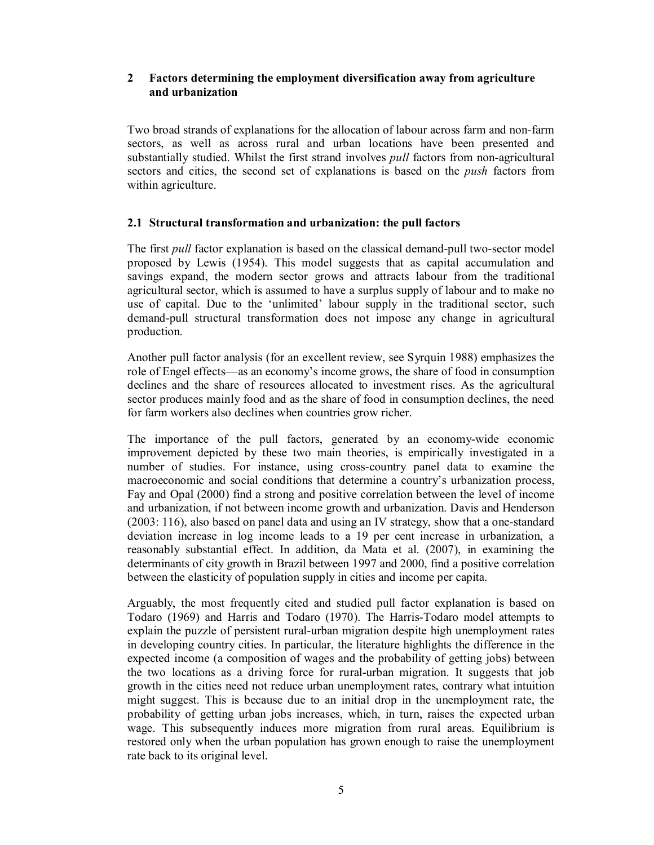# **2 Factors determining the employment diversification away from agriculture and urbanization**

Two broad strands of explanations for the allocation of labour across farm and non-farm sectors, as well as across rural and urban locations have been presented and substantially studied. Whilst the first strand involves *pull* factors from non-agricultural sectors and cities, the second set of explanations is based on the *push* factors from within agriculture.

# **2.1 Structural transformation and urbanization: the pull factors**

The first *pull* factor explanation is based on the classical demand-pull two-sector model proposed by Lewis (1954). This model suggests that as capital accumulation and savings expand, the modern sector grows and attracts labour from the traditional agricultural sector, which is assumed to have a surplus supply of labour and to make no use of capital. Due to the 'unlimited' labour supply in the traditional sector, such demand-pull structural transformation does not impose any change in agricultural production.

Another pull factor analysis (for an excellent review, see Syrquin 1988) emphasizes the role of Engel effects––as an economy's income grows, the share of food in consumption declines and the share of resources allocated to investment rises. As the agricultural sector produces mainly food and as the share of food in consumption declines, the need for farm workers also declines when countries grow richer.

The importance of the pull factors, generated by an economy-wide economic improvement depicted by these two main theories, is empirically investigated in a number of studies. For instance, using cross-country panel data to examine the macroeconomic and social conditions that determine a country's urbanization process, Fay and Opal (2000) find a strong and positive correlation between the level of income and urbanization, if not between income growth and urbanization. Davis and Henderson (2003: 116), also based on panel data and using an IV strategy, show that a one-standard deviation increase in log income leads to a 19 per cent increase in urbanization, a reasonably substantial effect. In addition, da Mata et al. (2007), in examining the determinants of city growth in Brazil between 1997 and 2000, find a positive correlation between the elasticity of population supply in cities and income per capita.

Arguably, the most frequently cited and studied pull factor explanation is based on Todaro (1969) and Harris and Todaro (1970). The Harris-Todaro model attempts to explain the puzzle of persistent rural-urban migration despite high unemployment rates in developing country cities. In particular, the literature highlights the difference in the expected income (a composition of wages and the probability of getting jobs) between the two locations as a driving force for rural-urban migration. It suggests that job growth in the cities need not reduce urban unemployment rates, contrary what intuition might suggest. This is because due to an initial drop in the unemployment rate, the probability of getting urban jobs increases, which, in turn, raises the expected urban wage. This subsequently induces more migration from rural areas. Equilibrium is restored only when the urban population has grown enough to raise the unemployment rate back to its original level.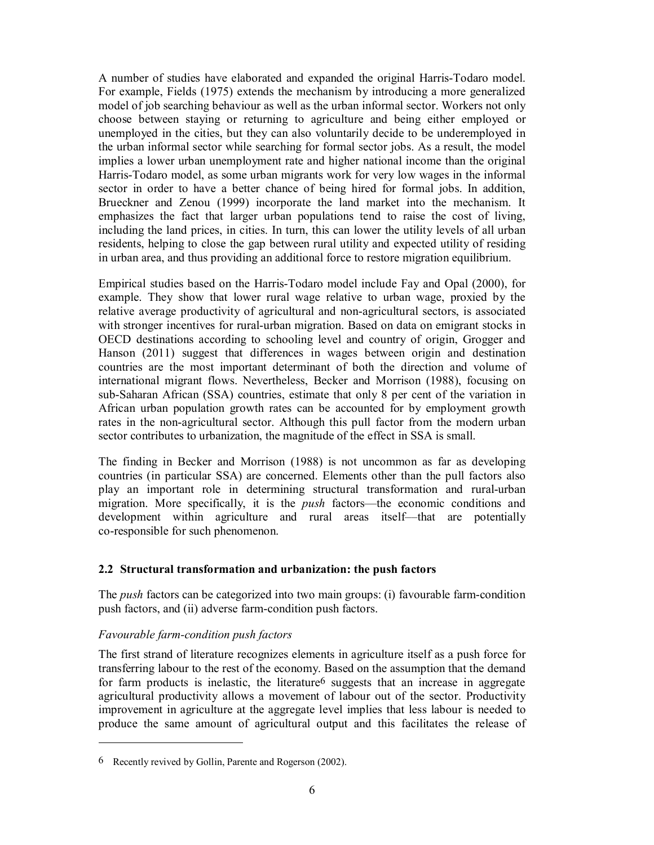A number of studies have elaborated and expanded the original Harris-Todaro model. For example, Fields (1975) extends the mechanism by introducing a more generalized model of job searching behaviour as well as the urban informal sector. Workers not only choose between staying or returning to agriculture and being either employed or unemployed in the cities, but they can also voluntarily decide to be underemployed in the urban informal sector while searching for formal sector jobs. As a result, the model implies a lower urban unemployment rate and higher national income than the original Harris-Todaro model, as some urban migrants work for very low wages in the informal sector in order to have a better chance of being hired for formal jobs. In addition, Brueckner and Zenou (1999) incorporate the land market into the mechanism. It emphasizes the fact that larger urban populations tend to raise the cost of living, including the land prices, in cities. In turn, this can lower the utility levels of all urban residents, helping to close the gap between rural utility and expected utility of residing in urban area, and thus providing an additional force to restore migration equilibrium.

Empirical studies based on the Harris-Todaro model include Fay and Opal (2000), for example. They show that lower rural wage relative to urban wage, proxied by the relative average productivity of agricultural and non-agricultural sectors, is associated with stronger incentives for rural-urban migration. Based on data on emigrant stocks in OECD destinations according to schooling level and country of origin, Grogger and Hanson (2011) suggest that differences in wages between origin and destination countries are the most important determinant of both the direction and volume of international migrant flows. Nevertheless, Becker and Morrison (1988), focusing on sub-Saharan African (SSA) countries, estimate that only 8 per cent of the variation in African urban population growth rates can be accounted for by employment growth rates in the non-agricultural sector. Although this pull factor from the modern urban sector contributes to urbanization, the magnitude of the effect in SSA is small.

The finding in Becker and Morrison (1988) is not uncommon as far as developing countries (in particular SSA) are concerned. Elements other than the pull factors also play an important role in determining structural transformation and rural-urban migration. More specifically, it is the *push* factors––the economic conditions and development within agriculture and rural areas itself––that are potentially co-responsible for such phenomenon.

# **2.2 Structural transformation and urbanization: the push factors**

The *push* factors can be categorized into two main groups: (i) favourable farm-condition push factors, and (ii) adverse farm-condition push factors.

# *Favourable farm-condition push factors*

-

The first strand of literature recognizes elements in agriculture itself as a push force for transferring labour to the rest of the economy. Based on the assumption that the demand for farm products is inelastic, the literature  $6$  suggests that an increase in aggregate agricultural productivity allows a movement of labour out of the sector. Productivity improvement in agriculture at the aggregate level implies that less labour is needed to produce the same amount of agricultural output and this facilitates the release of

<sup>6</sup> Recently revived by Gollin, Parente and Rogerson (2002).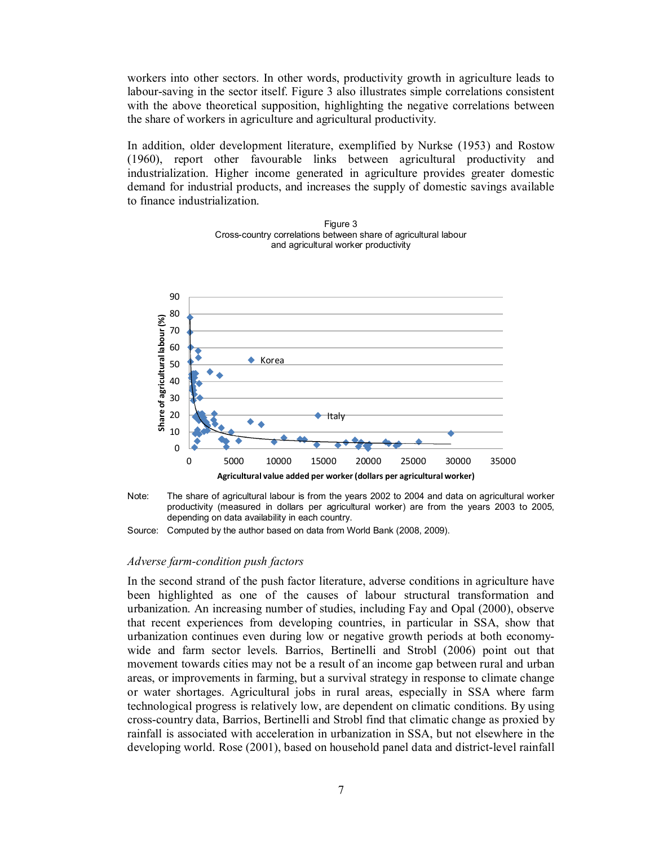workers into other sectors. In other words, productivity growth in agriculture leads to labour-saving in the sector itself. Figure 3 also illustrates simple correlations consistent with the above theoretical supposition, highlighting the negative correlations between the share of workers in agriculture and agricultural productivity.

In addition, older development literature, exemplified by Nurkse (1953) and Rostow (1960), report other favourable links between agricultural productivity and industrialization. Higher income generated in agriculture provides greater domestic demand for industrial products, and increases the supply of domestic savings available to finance industrialization.



Figure 3 Cross-country correlations between share of agricultural labour and agricultural worker productivity



Source: Computed by the author based on data from World Bank (2008, 2009).

#### *Adverse farm-condition push factors*

In the second strand of the push factor literature, adverse conditions in agriculture have been highlighted as one of the causes of labour structural transformation and urbanization. An increasing number of studies, including Fay and Opal (2000), observe that recent experiences from developing countries, in particular in SSA, show that urbanization continues even during low or negative growth periods at both economywide and farm sector levels. Barrios, Bertinelli and Strobl (2006) point out that movement towards cities may not be a result of an income gap between rural and urban areas, or improvements in farming, but a survival strategy in response to climate change or water shortages. Agricultural jobs in rural areas, especially in SSA where farm technological progress is relatively low, are dependent on climatic conditions. By using cross-country data, Barrios, Bertinelli and Strobl find that climatic change as proxied by rainfall is associated with acceleration in urbanization in SSA, but not elsewhere in the developing world. Rose (2001), based on household panel data and district-level rainfall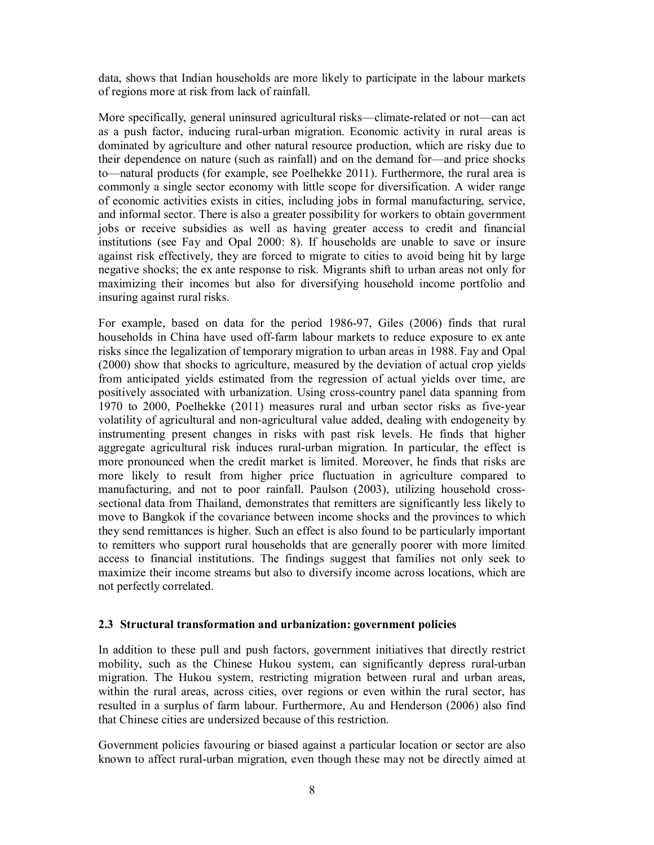data, shows that Indian households are more likely to participate in the labour markets of regions more at risk from lack of rainfall.

More specifically, general uninsured agricultural risks––climate-related or not––can act as a push factor, inducing rural-urban migration. Economic activity in rural areas is dominated by agriculture and other natural resource production, which are risky due to their dependence on nature (such as rainfall) and on the demand for––and price shocks to––natural products (for example, see Poelhekke 2011). Furthermore, the rural area is commonly a single sector economy with little scope for diversification. A wider range of economic activities exists in cities, including jobs in formal manufacturing, service, and informal sector. There is also a greater possibility for workers to obtain government jobs or receive subsidies as well as having greater access to credit and financial institutions (see Fay and Opal 2000: 8). If households are unable to save or insure against risk effectively, they are forced to migrate to cities to avoid being hit by large negative shocks; the ex ante response to risk. Migrants shift to urban areas not only for maximizing their incomes but also for diversifying household income portfolio and insuring against rural risks.

For example, based on data for the period 1986-97, Giles (2006) finds that rural households in China have used off-farm labour markets to reduce exposure to ex ante risks since the legalization of temporary migration to urban areas in 1988. Fay and Opal (2000) show that shocks to agriculture, measured by the deviation of actual crop yields from anticipated yields estimated from the regression of actual yields over time, are positively associated with urbanization. Using cross-country panel data spanning from 1970 to 2000, Poelhekke (2011) measures rural and urban sector risks as five-year volatility of agricultural and non-agricultural value added, dealing with endogeneity by instrumenting present changes in risks with past risk levels. He finds that higher aggregate agricultural risk induces rural-urban migration. In particular, the effect is more pronounced when the credit market is limited. Moreover, he finds that risks are more likely to result from higher price fluctuation in agriculture compared to manufacturing, and not to poor rainfall. Paulson (2003), utilizing household crosssectional data from Thailand, demonstrates that remitters are significantly less likely to move to Bangkok if the covariance between income shocks and the provinces to which they send remittances is higher. Such an effect is also found to be particularly important to remitters who support rural households that are generally poorer with more limited access to financial institutions. The findings suggest that families not only seek to maximize their income streams but also to diversify income across locations, which are not perfectly correlated.

# **2.3 Structural transformation and urbanization: government policies**

In addition to these pull and push factors, government initiatives that directly restrict mobility, such as the Chinese Hukou system, can significantly depress rural-urban migration. The Hukou system, restricting migration between rural and urban areas, within the rural areas, across cities, over regions or even within the rural sector, has resulted in a surplus of farm labour. Furthermore, Au and Henderson (2006) also find that Chinese cities are undersized because of this restriction.

Government policies favouring or biased against a particular location or sector are also known to affect rural-urban migration, even though these may not be directly aimed at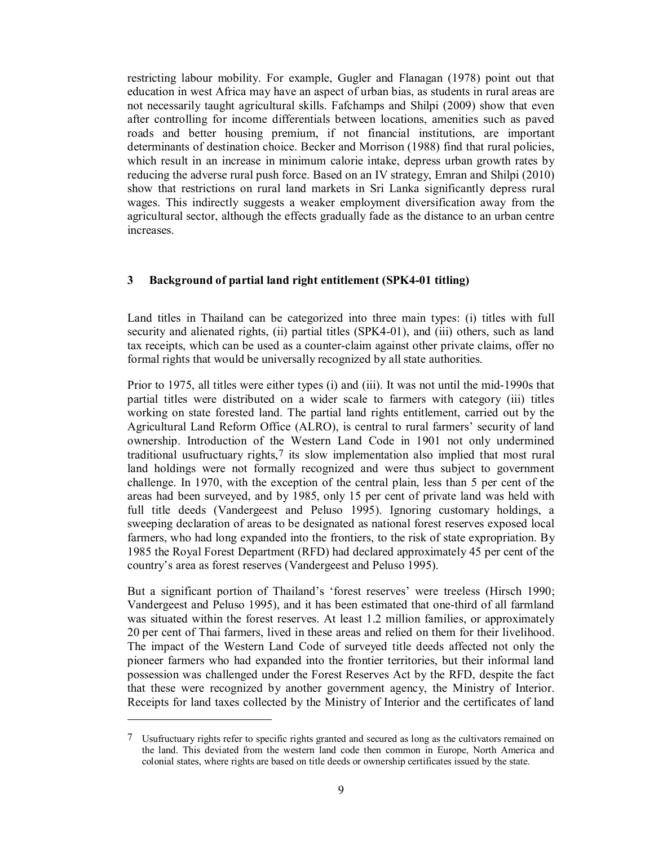restricting labour mobility. For example, Gugler and Flanagan (1978) point out that education in west Africa may have an aspect of urban bias, as students in rural areas are not necessarily taught agricultural skills. Fafchamps and Shilpi (2009) show that even after controlling for income differentials between locations, amenities such as paved roads and better housing premium, if not financial institutions, are important determinants of destination choice. Becker and Morrison (1988) find that rural policies, which result in an increase in minimum calorie intake, depress urban growth rates by reducing the adverse rural push force. Based on an IV strategy, Emran and Shilpi (2010) show that restrictions on rural land markets in Sri Lanka significantly depress rural wages. This indirectly suggests a weaker employment diversification away from the agricultural sector, although the effects gradually fade as the distance to an urban centre increases.

## **3 Background of partial land right entitlement (SPK4-01 titling)**

Land titles in Thailand can be categorized into three main types: (i) titles with full security and alienated rights, (ii) partial titles (SPK4-01), and (iii) others, such as land tax receipts, which can be used as a counter-claim against other private claims, offer no formal rights that would be universally recognized by all state authorities.

Prior to 1975, all titles were either types (i) and (iii). It was not until the mid-1990s that partial titles were distributed on a wider scale to farmers with category (iii) titles working on state forested land. The partial land rights entitlement, carried out by the Agricultural Land Reform Office (ALRO), is central to rural farmers' security of land ownership. Introduction of the Western Land Code in 1901 not only undermined traditional usufructuary rights,7 its slow implementation also implied that most rural land holdings were not formally recognized and were thus subject to government challenge. In 1970, with the exception of the central plain, less than 5 per cent of the areas had been surveyed, and by 1985, only 15 per cent of private land was held with full title deeds (Vandergeest and Peluso 1995). Ignoring customary holdings, a sweeping declaration of areas to be designated as national forest reserves exposed local farmers, who had long expanded into the frontiers, to the risk of state expropriation. By 1985 the Royal Forest Department (RFD) had declared approximately 45 per cent of the country's area as forest reserves (Vandergeest and Peluso 1995).

But a significant portion of Thailand's 'forest reserves' were treeless (Hirsch 1990; Vandergeest and Peluso 1995), and it has been estimated that one-third of all farmland was situated within the forest reserves. At least 1.2 million families, or approximately 20 per cent of Thai farmers, lived in these areas and relied on them for their livelihood. The impact of the Western Land Code of surveyed title deeds affected not only the pioneer farmers who had expanded into the frontier territories, but their informal land possession was challenged under the Forest Reserves Act by the RFD, despite the fact that these were recognized by another government agency, the Ministry of Interior. Receipts for land taxes collected by the Ministry of Interior and the certificates of land

 $\overline{a}$ 

<sup>7</sup> Usufructuary rights refer to specific rights granted and secured as long as the cultivators remained on the land. This deviated from the western land code then common in Europe, North America and colonial states, where rights are based on title deeds or ownership certificates issued by the state.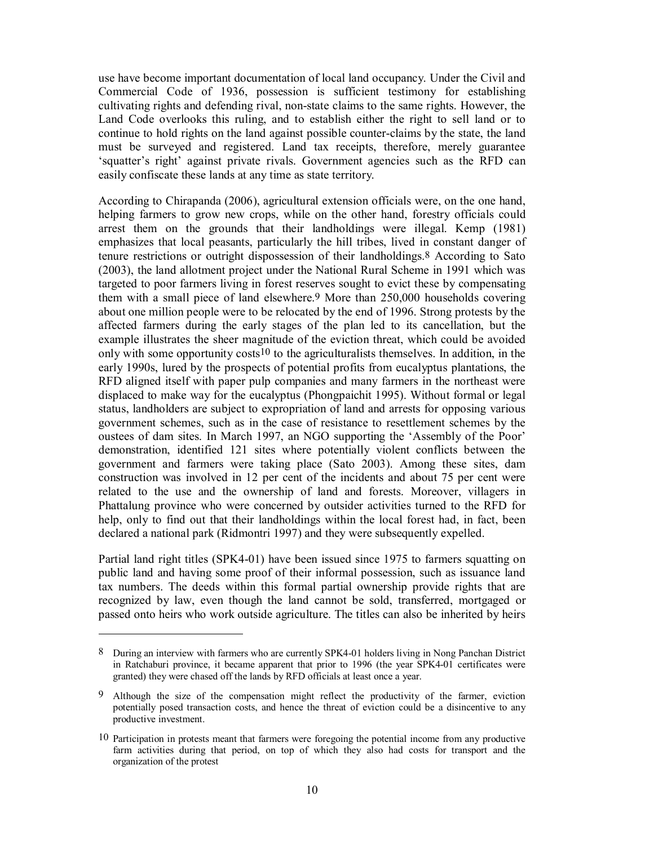use have become important documentation of local land occupancy. Under the Civil and Commercial Code of 1936, possession is sufficient testimony for establishing cultivating rights and defending rival, non-state claims to the same rights. However, the Land Code overlooks this ruling, and to establish either the right to sell land or to continue to hold rights on the land against possible counter-claims by the state, the land must be surveyed and registered. Land tax receipts, therefore, merely guarantee 'squatter's right' against private rivals. Government agencies such as the RFD can easily confiscate these lands at any time as state territory.

According to Chirapanda (2006), agricultural extension officials were, on the one hand, helping farmers to grow new crops, while on the other hand, forestry officials could arrest them on the grounds that their landholdings were illegal. Kemp (1981) emphasizes that local peasants, particularly the hill tribes, lived in constant danger of tenure restrictions or outright dispossession of their landholdings.8 According to Sato (2003), the land allotment project under the National Rural Scheme in 1991 which was targeted to poor farmers living in forest reserves sought to evict these by compensating them with a small piece of land elsewhere.9 More than 250,000 households covering about one million people were to be relocated by the end of 1996. Strong protests by the affected farmers during the early stages of the plan led to its cancellation, but the example illustrates the sheer magnitude of the eviction threat, which could be avoided only with some opportunity costs<sup>10</sup> to the agriculturalists themselves. In addition, in the early 1990s, lured by the prospects of potential profits from eucalyptus plantations, the RFD aligned itself with paper pulp companies and many farmers in the northeast were displaced to make way for the eucalyptus (Phongpaichit 1995). Without formal or legal status, landholders are subject to expropriation of land and arrests for opposing various government schemes, such as in the case of resistance to resettlement schemes by the oustees of dam sites. In March 1997, an NGO supporting the 'Assembly of the Poor' demonstration, identified 121 sites where potentially violent conflicts between the government and farmers were taking place (Sato 2003). Among these sites, dam construction was involved in 12 per cent of the incidents and about 75 per cent were related to the use and the ownership of land and forests. Moreover, villagers in Phattalung province who were concerned by outsider activities turned to the RFD for help, only to find out that their landholdings within the local forest had, in fact, been declared a national park (Ridmontri 1997) and they were subsequently expelled.

Partial land right titles (SPK4-01) have been issued since 1975 to farmers squatting on public land and having some proof of their informal possession, such as issuance land tax numbers. The deeds within this formal partial ownership provide rights that are recognized by law, even though the land cannot be sold, transferred, mortgaged or passed onto heirs who work outside agriculture. The titles can also be inherited by heirs

-

<sup>8</sup> During an interview with farmers who are currently SPK4-01 holders living in Nong Panchan District in Ratchaburi province, it became apparent that prior to 1996 (the year SPK4-01 certificates were granted) they were chased off the lands by RFD officials at least once a year.

<sup>9</sup> Although the size of the compensation might reflect the productivity of the farmer, eviction potentially posed transaction costs, and hence the threat of eviction could be a disincentive to any productive investment.

<sup>10</sup> Participation in protests meant that farmers were foregoing the potential income from any productive farm activities during that period, on top of which they also had costs for transport and the organization of the protest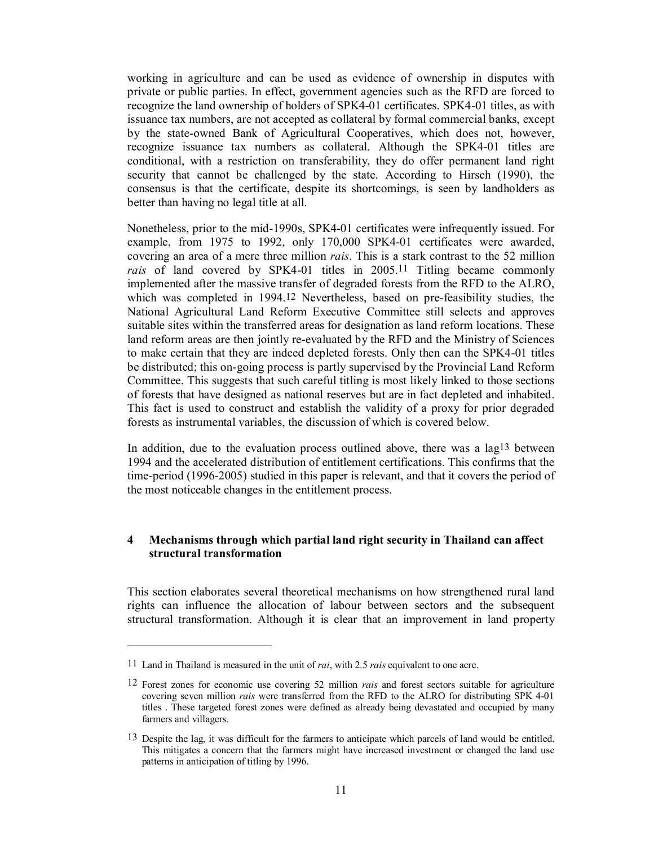working in agriculture and can be used as evidence of ownership in disputes with private or public parties. In effect, government agencies such as the RFD are forced to recognize the land ownership of holders of SPK4-01 certificates. SPK4-01 titles, as with issuance tax numbers, are not accepted as collateral by formal commercial banks, except by the state-owned Bank of Agricultural Cooperatives, which does not, however, recognize issuance tax numbers as collateral. Although the SPK4-01 titles are conditional, with a restriction on transferability, they do offer permanent land right security that cannot be challenged by the state. According to Hirsch (1990), the consensus is that the certificate, despite its shortcomings, is seen by landholders as better than having no legal title at all.

Nonetheless, prior to the mid-1990s, SPK4-01 certificates were infrequently issued. For example, from 1975 to 1992, only 170,000 SPK4-01 certificates were awarded, covering an area of a mere three million *rais*. This is a stark contrast to the 52 million *rais* of land covered by SPK4-01 titles in 2005.11 Titling became commonly implemented after the massive transfer of degraded forests from the RFD to the ALRO, which was completed in 1994.12 Nevertheless, based on pre-feasibility studies, the National Agricultural Land Reform Executive Committee still selects and approves suitable sites within the transferred areas for designation as land reform locations. These land reform areas are then jointly re-evaluated by the RFD and the Ministry of Sciences to make certain that they are indeed depleted forests. Only then can the SPK4-01 titles be distributed; this on-going process is partly supervised by the Provincial Land Reform Committee. This suggests that such careful titling is most likely linked to those sections of forests that have designed as national reserves but are in fact depleted and inhabited. This fact is used to construct and establish the validity of a proxy for prior degraded forests as instrumental variables, the discussion of which is covered below.

In addition, due to the evaluation process outlined above, there was a lag13 between 1994 and the accelerated distribution of entitlement certifications. This confirms that the time-period (1996-2005) studied in this paper is relevant, and that it covers the period of the most noticeable changes in the entitlement process.

# **4 Mechanisms through which partial land right security in Thailand can affect structural transformation**

This section elaborates several theoretical mechanisms on how strengthened rural land rights can influence the allocation of labour between sectors and the subsequent structural transformation. Although it is clear that an improvement in land property

 $\overline{\phantom{a}}$ 

<sup>11</sup> Land in Thailand is measured in the unit of *rai*, with 2.5 *rais* equivalent to one acre.

<sup>12</sup> Forest zones for economic use covering 52 million *rais* and forest sectors suitable for agriculture covering seven million *rais* were transferred from the RFD to the ALRO for distributing SPK 4-01 titles . These targeted forest zones were defined as already being devastated and occupied by many farmers and villagers.

<sup>13</sup> Despite the lag, it was difficult for the farmers to anticipate which parcels of land would be entitled. This mitigates a concern that the farmers might have increased investment or changed the land use patterns in anticipation of titling by 1996.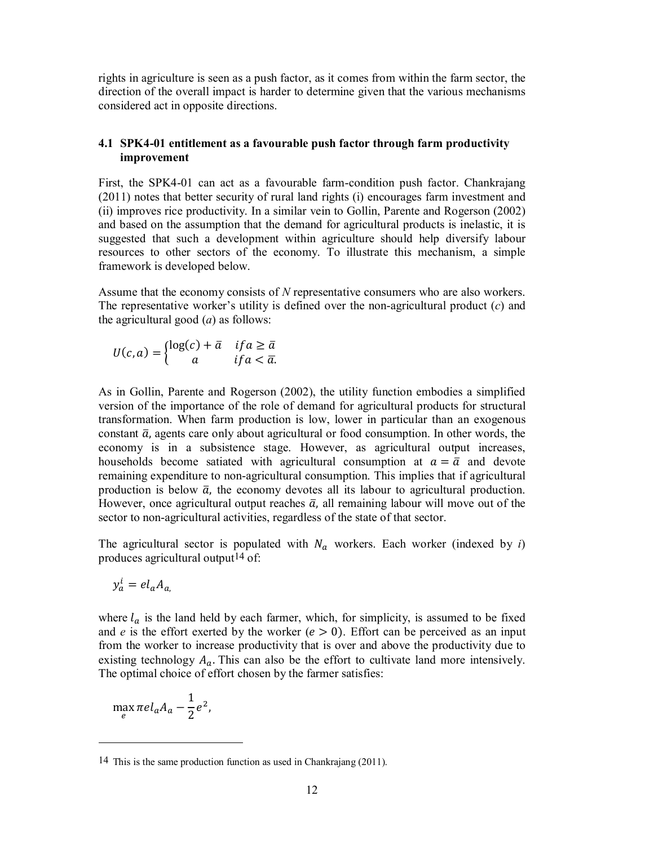rights in agriculture is seen as a push factor, as it comes from within the farm sector, the direction of the overall impact is harder to determine given that the various mechanisms considered act in opposite directions.

# **4.1 SPK4-01 entitlement as a favourable push factor through farm productivity improvement**

First, the SPK4-01 can act as a favourable farm-condition push factor. Chankrajang (2011) notes that better security of rural land rights (i) encourages farm investment and (ii) improves rice productivity. In a similar vein to Gollin, Parente and Rogerson (2002) and based on the assumption that the demand for agricultural products is inelastic, it is suggested that such a development within agriculture should help diversify labour resources to other sectors of the economy. To illustrate this mechanism, a simple framework is developed below.

Assume that the economy consists of *N* representative consumers who are also workers. The representative worker's utility is defined over the non-agricultural product (*c*) and the agricultural good (*a*) as follows:

$$
U(c,a) = \begin{cases} \log(c) + \bar{a} & \text{if } a \ge \bar{a} \\ a & \text{if } a < \bar{a} \end{cases}
$$

As in Gollin, Parente and Rogerson (2002), the utility function embodies a simplified version of the importance of the role of demand for agricultural products for structural transformation. When farm production is low, lower in particular than an exogenous constant  $\bar{a}$ , agents care only about agricultural or food consumption. In other words, the economy is in a subsistence stage. However, as agricultural output increases, households become satiated with agricultural consumption at  $a = \bar{a}$  and devote remaining expenditure to non-agricultural consumption. This implies that if agricultural production is below  $\bar{a}$ , the economy devotes all its labour to agricultural production. However, once agricultural output reaches  $\bar{a}$ , all remaining labour will move out of the sector to non-agricultural activities, regardless of the state of that sector.

The agricultural sector is populated with  $N_a$  workers. Each worker (indexed by *i*) produces agricultural output14 of:

$$
y_a^i = el_a A_a
$$

where  $l_a$  is the land held by each farmer, which, for simplicity, is assumed to be fixed and *e* is the effort exerted by the worker ( $e > 0$ ). Effort can be perceived as an input from the worker to increase productivity that is over and above the productivity due to existing technology  $A_a$ . This can also be the effort to cultivate land more intensively. The optimal choice of effort chosen by the farmer satisfies:

$$
\max_{e} \pi e l_a A_a - \frac{1}{2} e^2,
$$

-

<sup>14</sup> This is the same production function as used in Chankrajang (2011).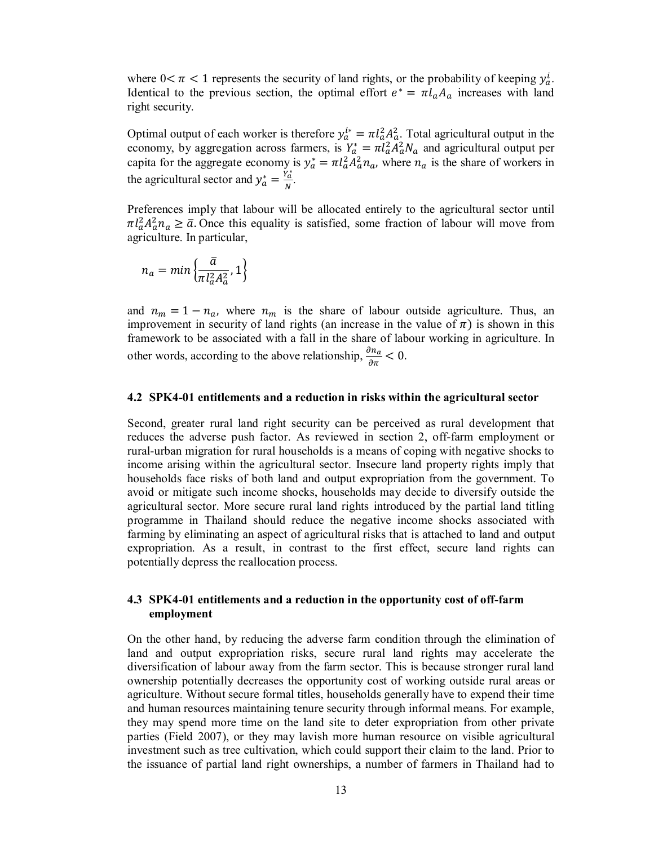where  $0 < \pi < 1$  represents the security of land rights, or the probability of keeping  $y_a^i$ . Identical to the previous section, the optimal effort  $e^* = \pi l_a A_a$  increases with land right security.

Optimal output of each worker is therefore  $y_a^{i*} = \pi l_a^2 A_a^2$ . Total agricultural output in the economy, by aggregation across farmers, is  $Y_a^* = \pi l_a^2 A_a^2 N_a$  and agricultural output per capita for the aggregate economy is  $y_a^* = \pi l_a^2 A_a^2 n_a$ , where  $n_a$  is the share of workers in the agricultural sector and  $y_a^* = \frac{Y_a^*}{N}$ .

Preferences imply that labour will be allocated entirely to the agricultural sector until  $\pi l_a^2 A_a^2 n_a \ge \bar{a}$ . Once this equality is satisfied, some fraction of labour will move from agriculture. In particular,

$$
n_a = min\left\{\frac{\bar{a}}{\pi l_a^2 A_a^2},1\right\}
$$

and  $n_m = 1 - n_a$ , where  $n_m$  is the share of labour outside agriculture. Thus, an improvement in security of land rights (an increase in the value of  $\pi$ ) is shown in this framework to be associated with a fall in the share of labour working in agriculture. In other words, according to the above relationship,  $\frac{\partial n_a}{\partial \pi} < 0$ .

#### **4.2 SPK4-01 entitlements and a reduction in risks within the agricultural sector**

Second, greater rural land right security can be perceived as rural development that reduces the adverse push factor. As reviewed in section 2, off-farm employment or rural-urban migration for rural households is a means of coping with negative shocks to income arising within the agricultural sector. Insecure land property rights imply that households face risks of both land and output expropriation from the government. To avoid or mitigate such income shocks, households may decide to diversify outside the agricultural sector. More secure rural land rights introduced by the partial land titling programme in Thailand should reduce the negative income shocks associated with farming by eliminating an aspect of agricultural risks that is attached to land and output expropriation. As a result, in contrast to the first effect, secure land rights can potentially depress the reallocation process.

## **4.3 SPK4-01 entitlements and a reduction in the opportunity cost of off-farm employment**

On the other hand, by reducing the adverse farm condition through the elimination of land and output expropriation risks, secure rural land rights may accelerate the diversification of labour away from the farm sector. This is because stronger rural land ownership potentially decreases the opportunity cost of working outside rural areas or agriculture. Without secure formal titles, households generally have to expend their time and human resources maintaining tenure security through informal means. For example, they may spend more time on the land site to deter expropriation from other private parties (Field 2007), or they may lavish more human resource on visible agricultural investment such as tree cultivation, which could support their claim to the land. Prior to the issuance of partial land right ownerships, a number of farmers in Thailand had to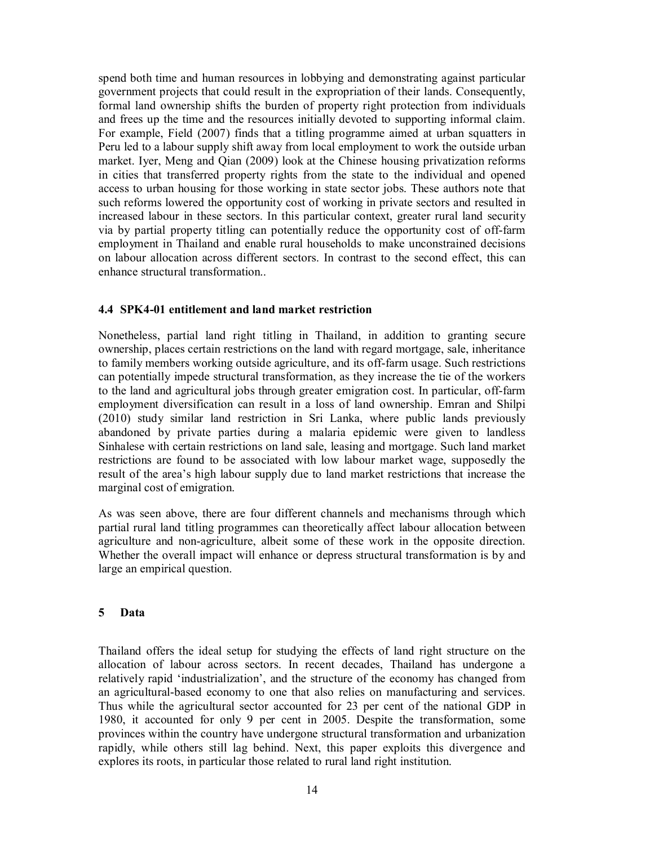spend both time and human resources in lobbying and demonstrating against particular government projects that could result in the expropriation of their lands. Consequently, formal land ownership shifts the burden of property right protection from individuals and frees up the time and the resources initially devoted to supporting informal claim. For example, Field (2007) finds that a titling programme aimed at urban squatters in Peru led to a labour supply shift away from local employment to work the outside urban market. Iyer, Meng and Qian (2009) look at the Chinese housing privatization reforms in cities that transferred property rights from the state to the individual and opened access to urban housing for those working in state sector jobs. These authors note that such reforms lowered the opportunity cost of working in private sectors and resulted in increased labour in these sectors. In this particular context, greater rural land security via by partial property titling can potentially reduce the opportunity cost of off-farm employment in Thailand and enable rural households to make unconstrained decisions on labour allocation across different sectors. In contrast to the second effect, this can enhance structural transformation..

## **4.4 SPK4-01 entitlement and land market restriction**

Nonetheless, partial land right titling in Thailand, in addition to granting secure ownership, places certain restrictions on the land with regard mortgage, sale, inheritance to family members working outside agriculture, and its off-farm usage. Such restrictions can potentially impede structural transformation, as they increase the tie of the workers to the land and agricultural jobs through greater emigration cost. In particular, off-farm employment diversification can result in a loss of land ownership. Emran and Shilpi (2010) study similar land restriction in Sri Lanka, where public lands previously abandoned by private parties during a malaria epidemic were given to landless Sinhalese with certain restrictions on land sale, leasing and mortgage. Such land market restrictions are found to be associated with low labour market wage, supposedly the result of the area's high labour supply due to land market restrictions that increase the marginal cost of emigration.

As was seen above, there are four different channels and mechanisms through which partial rural land titling programmes can theoretically affect labour allocation between agriculture and non-agriculture, albeit some of these work in the opposite direction. Whether the overall impact will enhance or depress structural transformation is by and large an empirical question.

## **5 Data**

Thailand offers the ideal setup for studying the effects of land right structure on the allocation of labour across sectors. In recent decades, Thailand has undergone a relatively rapid 'industrialization', and the structure of the economy has changed from an agricultural-based economy to one that also relies on manufacturing and services. Thus while the agricultural sector accounted for 23 per cent of the national GDP in 1980, it accounted for only 9 per cent in 2005. Despite the transformation, some provinces within the country have undergone structural transformation and urbanization rapidly, while others still lag behind. Next, this paper exploits this divergence and explores its roots, in particular those related to rural land right institution.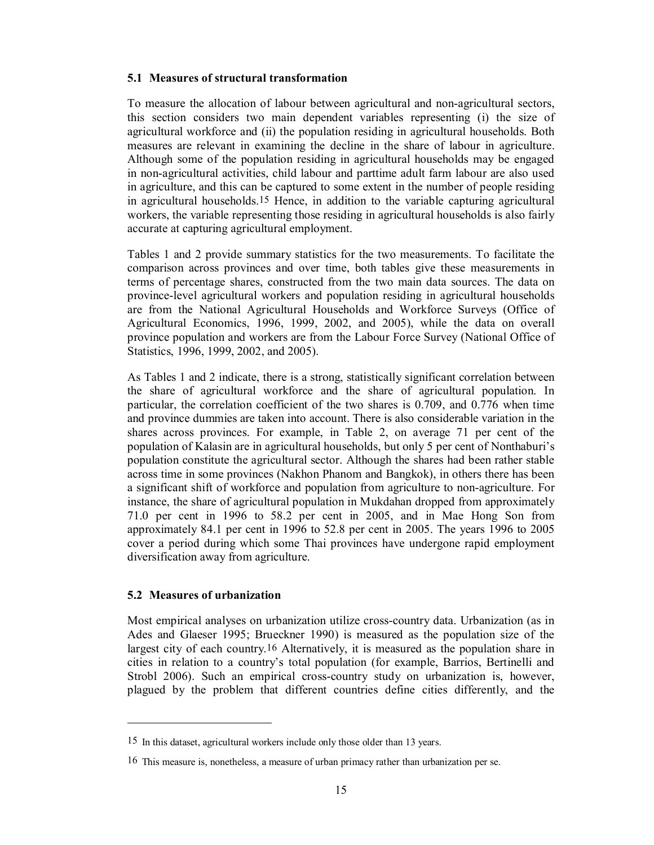## **5.1 Measures of structural transformation**

To measure the allocation of labour between agricultural and non-agricultural sectors, this section considers two main dependent variables representing (i) the size of agricultural workforce and (ii) the population residing in agricultural households. Both measures are relevant in examining the decline in the share of labour in agriculture. Although some of the population residing in agricultural households may be engaged in non-agricultural activities, child labour and parttime adult farm labour are also used in agriculture, and this can be captured to some extent in the number of people residing in agricultural households.15 Hence, in addition to the variable capturing agricultural workers, the variable representing those residing in agricultural households is also fairly accurate at capturing agricultural employment.

Tables 1 and 2 provide summary statistics for the two measurements. To facilitate the comparison across provinces and over time, both tables give these measurements in terms of percentage shares, constructed from the two main data sources. The data on province-level agricultural workers and population residing in agricultural households are from the National Agricultural Households and Workforce Surveys (Office of Agricultural Economics, 1996, 1999, 2002, and 2005), while the data on overall province population and workers are from the Labour Force Survey (National Office of Statistics, 1996, 1999, 2002, and 2005).

As Tables 1 and 2 indicate, there is a strong, statistically significant correlation between the share of agricultural workforce and the share of agricultural population. In particular, the correlation coefficient of the two shares is 0.709, and 0.776 when time and province dummies are taken into account. There is also considerable variation in the shares across provinces. For example, in Table 2, on average 71 per cent of the population of Kalasin are in agricultural households, but only 5 per cent of Nonthaburi's population constitute the agricultural sector. Although the shares had been rather stable across time in some provinces (Nakhon Phanom and Bangkok), in others there has been a significant shift of workforce and population from agriculture to non-agriculture. For instance, the share of agricultural population in Mukdahan dropped from approximately 71.0 per cent in 1996 to 58.2 per cent in 2005, and in Mae Hong Son from approximately 84.1 per cent in 1996 to 52.8 per cent in 2005. The years 1996 to 2005 cover a period during which some Thai provinces have undergone rapid employment diversification away from agriculture.

# **5.2 Measures of urbanization**

 $\overline{\phantom{a}}$ 

Most empirical analyses on urbanization utilize cross-country data. Urbanization (as in Ades and Glaeser 1995; Brueckner 1990) is measured as the population size of the largest city of each country.16 Alternatively, it is measured as the population share in cities in relation to a country's total population (for example, Barrios, Bertinelli and Strobl 2006). Such an empirical cross-country study on urbanization is, however, plagued by the problem that different countries define cities differently, and the

<sup>15</sup> In this dataset, agricultural workers include only those older than 13 years.

<sup>16</sup> This measure is, nonetheless, a measure of urban primacy rather than urbanization per se.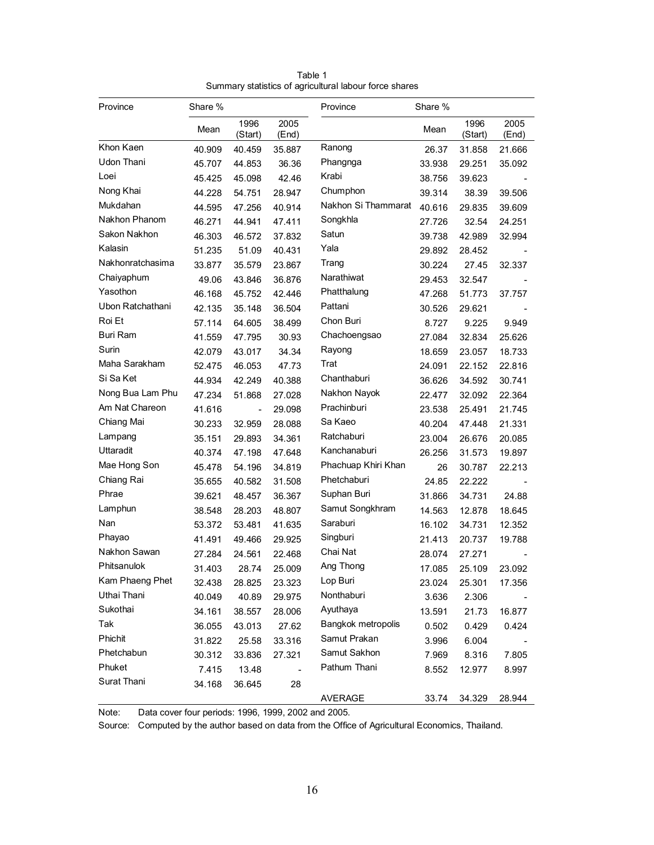| Province         | Share % |                          |               | Province            | Share % |                 |               |
|------------------|---------|--------------------------|---------------|---------------------|---------|-----------------|---------------|
|                  | Mean    | 1996<br>(Start)          | 2005<br>(End) |                     | Mean    | 1996<br>(Start) | 2005<br>(End) |
| Khon Kaen        | 40.909  | 40.459                   | 35.887        | Ranong              | 26.37   | 31.858          | 21.666        |
| Udon Thani       | 45.707  | 44.853                   | 36.36         | Phangnga            | 33.938  | 29.251          | 35.092        |
| Loei             | 45.425  | 45.098                   | 42.46         | Krabi               | 38.756  | 39.623          |               |
| Nong Khai        | 44.228  | 54.751                   | 28.947        | Chumphon            | 39.314  | 38.39           | 39.506        |
| Mukdahan         | 44.595  | 47.256                   | 40.914        | Nakhon Si Thammarat | 40.616  | 29.835          | 39.609        |
| Nakhon Phanom    | 46.271  | 44.941                   | 47.411        | Songkhla            | 27.726  | 32.54           | 24.251        |
| Sakon Nakhon     | 46.303  | 46.572                   | 37.832        | Satun               | 39.738  | 42.989          | 32.994        |
| Kalasin          | 51.235  | 51.09                    | 40.431        | Yala                | 29.892  | 28.452          |               |
| Nakhonratchasima | 33.877  | 35.579                   | 23.867        | Trang               | 30.224  | 27.45           | 32.337        |
| Chaiyaphum       | 49.06   | 43.846                   | 36.876        | Narathiwat          | 29.453  | 32.547          |               |
| Yasothon         | 46.168  | 45.752                   | 42.446        | Phatthalung         | 47.268  | 51.773          | 37.757        |
| Ubon Ratchathani | 42.135  | 35.148                   | 36.504        | Pattani             | 30.526  | 29.621          |               |
| Roi Et           | 57.114  | 64.605                   | 38.499        | Chon Buri           | 8.727   | 9.225           | 9.949         |
| <b>Buri Ram</b>  | 41.559  | 47.795                   | 30.93         | Chachoengsao        | 27.084  | 32.834          | 25.626        |
| Surin            | 42.079  | 43.017                   | 34.34         | Rayong              | 18.659  | 23.057          | 18.733        |
| Maha Sarakham    | 52.475  | 46.053                   | 47.73         | Trat                | 24.091  | 22.152          | 22.816        |
| Si Sa Ket        | 44.934  | 42.249                   | 40.388        | Chanthaburi         | 36.626  | 34.592          | 30.741        |
| Nong Bua Lam Phu | 47.234  | 51.868                   | 27.028        | Nakhon Nayok        | 22.477  | 32.092          | 22.364        |
| Am Nat Chareon   | 41.616  | $\overline{\phantom{a}}$ | 29.098        | Prachinburi         | 23.538  | 25.491          | 21.745        |
| Chiang Mai       | 30.233  | 32.959                   | 28.088        | Sa Kaeo             | 40.204  | 47.448          | 21.331        |
| Lampang          | 35.151  | 29.893                   | 34.361        | Ratchaburi          | 23.004  | 26.676          | 20.085        |
| Uttaradit        | 40.374  | 47.198                   | 47.648        | Kanchanaburi        | 26.256  | 31.573          | 19.897        |
| Mae Hong Son     | 45.478  | 54.196                   | 34.819        | Phachuap Khiri Khan | 26      | 30.787          | 22.213        |
| Chiang Rai       | 35.655  | 40.582                   | 31.508        | Phetchaburi         | 24.85   | 22.222          |               |
| Phrae            | 39.621  | 48.457                   | 36.367        | Suphan Buri         | 31.866  | 34.731          | 24.88         |
| Lamphun          | 38.548  | 28.203                   | 48.807        | Samut Songkhram     | 14.563  | 12.878          | 18.645        |
| Nan              | 53.372  | 53.481                   | 41.635        | Saraburi            | 16.102  | 34.731          | 12.352        |
| Phayao           | 41.491  | 49.466                   | 29.925        | Singburi            | 21.413  | 20.737          | 19.788        |
| Nakhon Sawan     | 27.284  | 24.561                   | 22.468        | Chai Nat            | 28.074  | 27.271          |               |
| Phitsanulok      | 31.403  | 28.74                    | 25.009        | Ang Thong           | 17.085  | 25.109          | 23.092        |
| Kam Phaeng Phet  | 32.438  | 28.825                   | 23.323        | Lop Buri            | 23.024  | 25.301          | 17.356        |
| Uthai Thani      | 40.049  | 40.89                    | 29.975        | Nonthaburi          | 3.636   | 2.306           |               |
| Sukothai         | 34.161  | 38.557                   | 28.006        | Ayuthaya            | 13.591  | 21.73           | 16.877        |
| Tak              | 36.055  | 43.013                   | 27.62         | Bangkok metropolis  | 0.502   | 0.429           | 0.424         |
| Phichit          | 31.822  | 25.58                    | 33.316        | Samut Prakan        | 3.996   | 6.004           |               |
| Phetchabun       | 30.312  | 33.836                   | 27.321        | Samut Sakhon        | 7.969   | 8.316           | 7.805         |
| Phuket           | 7.415   | 13.48                    |               | Pathum Thani        | 8.552   | 12.977          | 8.997         |
| Surat Thani      | 34.168  | 36.645                   | 28            |                     |         |                 |               |
|                  |         |                          |               | AVERAGE             | 33.74   | 34.329          | 28.944        |

Table 1 Summary statistics of agricultural labour force shares

Note: Data cover four periods: 1996, 1999, 2002 and 2005.

Source: Computed by the author based on data from the Office of Agricultural Economics, Thailand.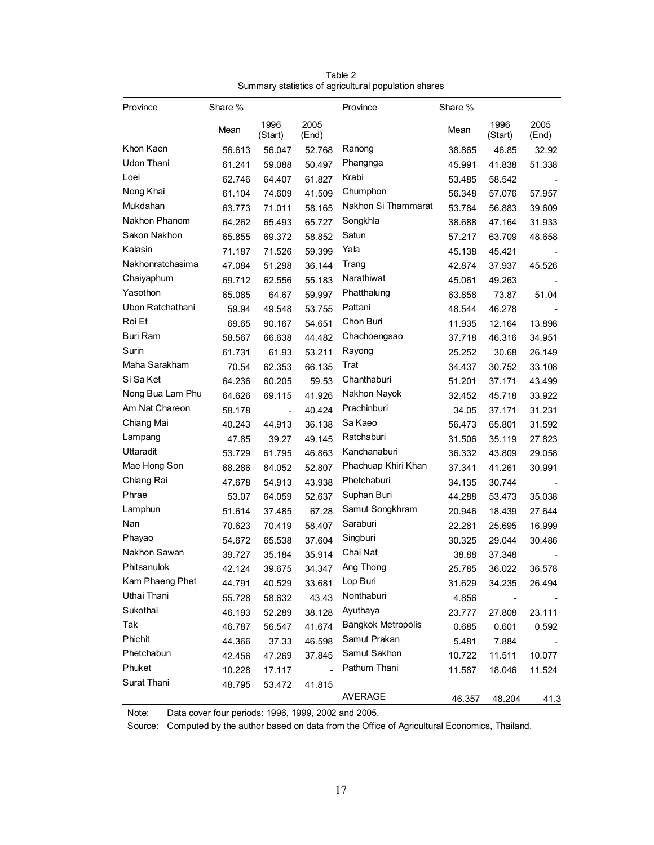| Province         | Share % |                 |               | Province                  | Share % |                 |               |
|------------------|---------|-----------------|---------------|---------------------------|---------|-----------------|---------------|
|                  | Mean    | 1996<br>(Start) | 2005<br>(End) |                           | Mean    | 1996<br>(Start) | 2005<br>(End) |
| Khon Kaen        | 56.613  | 56.047          | 52.768        | Ranong                    | 38.865  | 46.85           | 32.92         |
| Udon Thani       | 61.241  | 59.088          | 50.497        | Phangnga                  | 45.991  | 41.838          | 51.338        |
| Loei             | 62.746  | 64.407          | 61.827        | Krabi                     | 53.485  | 58.542          |               |
| Nong Khai        | 61.104  | 74.609          | 41.509        | Chumphon                  | 56.348  | 57.076          | 57.957        |
| Mukdahan         | 63.773  | 71.011          | 58.165        | Nakhon Si Thammarat       | 53.784  | 56.883          | 39.609        |
| Nakhon Phanom    | 64.262  | 65.493          | 65.727        | Songkhla                  | 38.688  | 47.164          | 31.933        |
| Sakon Nakhon     | 65.855  | 69.372          | 58.852        | Satun                     | 57.217  | 63.709          | 48.658        |
| Kalasin          | 71.187  | 71.526          | 59.399        | Yala                      | 45.138  | 45.421          |               |
| Nakhonratchasima | 47.084  | 51.298          | 36.144        | Trang                     | 42.874  | 37.937          | 45.526        |
| Chaiyaphum       | 69.712  | 62.556          | 55.183        | Narathiwat                | 45.061  | 49.263          |               |
| Yasothon         | 65.085  | 64.67           | 59.997        | Phatthalung               | 63.858  | 73.87           | 51.04         |
| Ubon Ratchathani | 59.94   | 49.548          | 53.755        | Pattani                   | 48.544  | 46.278          |               |
| Roi Et           | 69.65   | 90.167          | 54.651        | Chon Buri                 | 11.935  | 12.164          | 13.898        |
| <b>Buri Ram</b>  | 58.567  | 66.638          | 44.482        | Chachoengsao              | 37.718  | 46.316          | 34.951        |
| Surin            | 61.731  | 61.93           | 53.211        | Rayong                    | 25.252  | 30.68           | 26.149        |
| Maha Sarakham    | 70.54   | 62.353          | 66.135        | Trat                      | 34.437  | 30.752          | 33.108        |
| Si Sa Ket        | 64.236  | 60.205          | 59.53         | Chanthaburi               | 51.201  | 37.171          | 43.499        |
| Nong Bua Lam Phu | 64.626  | 69.115          | 41.926        | Nakhon Nayok              | 32.452  | 45.718          | 33.922        |
| Am Nat Chareon   | 58.178  | $\blacksquare$  | 40.424        | Prachinburi               | 34.05   | 37.171          | 31.231        |
| Chiang Mai       | 40.243  | 44.913          | 36.138        | Sa Kaeo                   | 56.473  | 65.801          | 31.592        |
| Lampang          | 47.85   | 39.27           | 49.145        | Ratchaburi                | 31.506  | 35.119          | 27.823        |
| Uttaradit        | 53.729  | 61.795          | 46.863        | Kanchanaburi              | 36.332  | 43.809          | 29.058        |
| Mae Hong Son     | 68.286  | 84.052          | 52.807        | Phachuap Khiri Khan       | 37.341  | 41.261          | 30.991        |
| Chiang Rai       | 47.678  | 54.913          | 43.938        | Phetchaburi               | 34.135  | 30.744          |               |
| Phrae            | 53.07   | 64.059          | 52.637        | Suphan Buri               | 44.288  | 53.473          | 35.038        |
| Lamphun          | 51.614  | 37.485          | 67.28         | Samut Songkhram           | 20.946  | 18.439          | 27.644        |
| Nan              | 70.623  | 70.419          | 58.407        | Saraburi                  | 22.281  | 25.695          | 16.999        |
| Phayao           | 54.672  | 65.538          | 37.604        | Singburi                  | 30.325  | 29.044          | 30.486        |
| Nakhon Sawan     | 39.727  | 35.184          | 35.914        | Chai Nat                  | 38.88   | 37.348          |               |
| Phitsanulok      | 42.124  | 39.675          | 34.347        | Ang Thong                 | 25.785  | 36.022          | 36.578        |
| Kam Phaeng Phet  | 44.791  | 40.529          | 33.681        | Lop Buri                  | 31.629  | 34.235          | 26.494        |
| Uthai Thani      | 55.728  | 58.632          | 43.43         | Nonthaburi                | 4.856   |                 |               |
| Sukothai         | 46.193  | 52.289          | 38.128        | Ayuthaya                  | 23.777  | 27.808          | 23.111        |
| Tak              | 46.787  | 56.547          | 41.674        | <b>Bangkok Metropolis</b> | 0.685   | 0.601           | 0.592         |
| Phichit          | 44.366  | 37.33           | 46.598        | Samut Prakan              | 5.481   | 7.884           |               |
| Phetchabun       | 42.456  | 47.269          | 37.845        | Samut Sakhon              | 10.722  | 11.511          | 10.077        |
| Phuket           | 10.228  | 17.117          |               | Pathum Thani              | 11.587  | 18.046          | 11.524        |
| Surat Thani      | 48.795  | 53.472          | 41.815        |                           |         |                 |               |
|                  |         |                 |               | <b>AVERAGE</b>            | 46.357  | 48.204          | 41.3          |

Table 2 Summary statistics of agricultural population shares

Note: Data cover four periods: 1996, 1999, 2002 and 2005.

Source: Computed by the author based on data from the Office of Agricultural Economics, Thailand.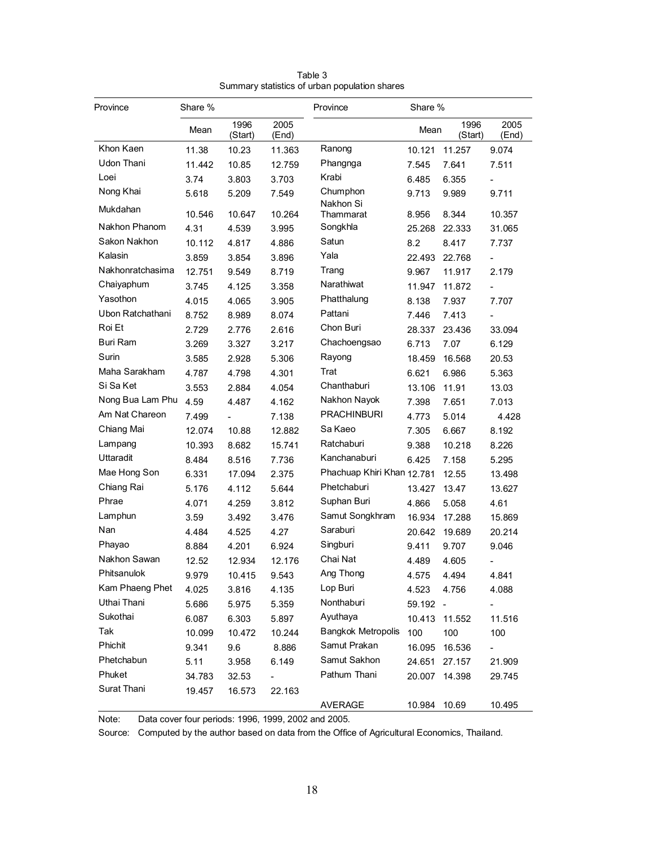| Province         | Share % |                          |                          | Province                   | Share % |                 |               |
|------------------|---------|--------------------------|--------------------------|----------------------------|---------|-----------------|---------------|
|                  | Mean    | 1996<br>(Start)          | 2005<br>(End)            |                            | Mean    | 1996<br>(Start) | 2005<br>(End) |
| Khon Kaen        | 11.38   | 10.23                    | 11.363                   | Ranong                     | 10.121  | 11.257          | 9.074         |
| Udon Thani       | 11.442  | 10.85                    | 12.759                   | Phangnga                   | 7.545   | 7.641           | 7.511         |
| Loei             | 3.74    | 3.803                    | 3.703                    | Krabi                      | 6.485   | 6.355           |               |
| Nong Khai        | 5.618   | 5.209                    | 7.549                    | Chumphon                   | 9.713   | 9.989           | 9.711         |
| Mukdahan         | 10.546  | 10.647                   | 10.264                   | Nakhon Si<br>Thammarat     | 8.956   | 8.344           | 10.357        |
| Nakhon Phanom    | 4.31    | 4.539                    | 3.995                    | Songkhla                   | 25.268  | 22.333          | 31.065        |
| Sakon Nakhon     | 10.112  | 4.817                    | 4.886                    | Satun                      | 8.2     | 8.417           | 7.737         |
| Kalasin          | 3.859   | 3.854                    | 3.896                    | Yala                       | 22.493  | 22.768          |               |
| Nakhonratchasima | 12.751  | 9.549                    | 8.719                    | Trang                      | 9.967   | 11.917          | 2.179         |
| Chaiyaphum       | 3.745   | 4.125                    | 3.358                    | Narathiwat                 | 11.947  | 11.872          |               |
| Yasothon         | 4.015   | 4.065                    | 3.905                    | Phatthalung                | 8.138   | 7.937           | 7.707         |
| Ubon Ratchathani | 8.752   | 8.989                    | 8.074                    | Pattani                    | 7.446   | 7.413           |               |
| Roi Et           | 2.729   | 2.776                    | 2.616                    | Chon Buri                  | 28.337  | 23.436          | 33.094        |
| Buri Ram         | 3.269   | 3.327                    | 3.217                    | Chachoengsao               | 6.713   | 7.07            | 6.129         |
| Surin            | 3.585   | 2.928                    | 5.306                    | Rayong                     | 18.459  | 16.568          | 20.53         |
| Maha Sarakham    | 4.787   | 4.798                    | 4.301                    | Trat                       | 6.621   | 6.986           | 5.363         |
| Si Sa Ket        | 3.553   | 2.884                    | 4.054                    | Chanthaburi                | 13.106  | 11.91           | 13.03         |
| Nong Bua Lam Phu | 4.59    | 4.487                    | 4.162                    | Nakhon Nayok               | 7.398   | 7.651           | 7.013         |
| Am Nat Chareon   | 7.499   | $\overline{\phantom{0}}$ | 7.138                    | <b>PRACHINBURI</b>         | 4.773   | 5.014           | 4.428         |
| Chiang Mai       | 12.074  | 10.88                    | 12.882                   | Sa Kaeo                    | 7.305   | 6.667           | 8.192         |
| Lampang          | 10.393  | 8.682                    | 15.741                   | Ratchaburi                 | 9.388   | 10.218          | 8.226         |
| Uttaradit        | 8.484   | 8.516                    | 7.736                    | Kanchanaburi               | 6.425   | 7.158           | 5.295         |
| Mae Hong Son     | 6.331   | 17.094                   | 2.375                    | Phachuap Khiri Khan 12.781 |         | 12.55           | 13.498        |
| Chiang Rai       | 5.176   | 4.112                    | 5.644                    | Phetchaburi                | 13.427  | 13.47           | 13.627        |
| Phrae            | 4.071   | 4.259                    | 3.812                    | Suphan Buri                | 4.866   | 5.058           | 4.61          |
| Lamphun          | 3.59    | 3.492                    | 3.476                    | Samut Songkhram            | 16.934  | 17.288          | 15.869        |
| Nan              | 4.484   | 4.525                    | 4.27                     | Saraburi                   | 20.642  | 19.689          | 20.214        |
| Phayao           | 8.884   | 4.201                    | 6.924                    | Singburi                   | 9.411   | 9.707           | 9.046         |
| Nakhon Sawan     | 12.52   | 12.934                   | 12.176                   | Chai Nat                   | 4.489   | 4.605           |               |
| Phitsanulok      | 9.979   | 10.415                   | 9.543                    | Ang Thong                  | 4.575   | 4.494           | 4.841         |
| Kam Phaeng Phet  | 4.025   | 3.816                    | 4.135                    | Lop Buri                   | 4.523   | 4.756           | 4.088         |
| Uthai Thani      | 5.686   | 5.975                    | 5.359                    | Nonthaburi                 | 59.192  | $\sim$          |               |
| Sukothai         | 6.087   | 6.303                    | 5.897                    | Ayuthaya                   | 10.413  | 11.552          | 11.516        |
| Tak              | 10.099  | 10.472                   | 10.244                   | <b>Bangkok Metropolis</b>  | 100     | 100             | 100           |
| Phichit          | 9.341   | 9.6                      | 8.886                    | Samut Prakan               | 16.095  | 16.536          |               |
| Phetchabun       | 5.11    | 3.958                    | 6.149                    | Samut Sakhon               | 24.651  | 27.157          | 21.909        |
| Phuket           | 34.783  | 32.53                    | $\overline{\phantom{0}}$ | Pathum Thani               | 20.007  | 14.398          | 29.745        |
| Surat Thani      | 19.457  | 16.573                   | 22.163                   |                            |         |                 |               |
|                  |         |                          |                          | AVERAGE                    | 10.984  | 10.69           | 10.495        |

Table 3 Summary statistics of urban population shares

Note: Data cover four periods: 1996, 1999, 2002 and 2005.

Source: Computed by the author based on data from the Office of Agricultural Economics, Thailand.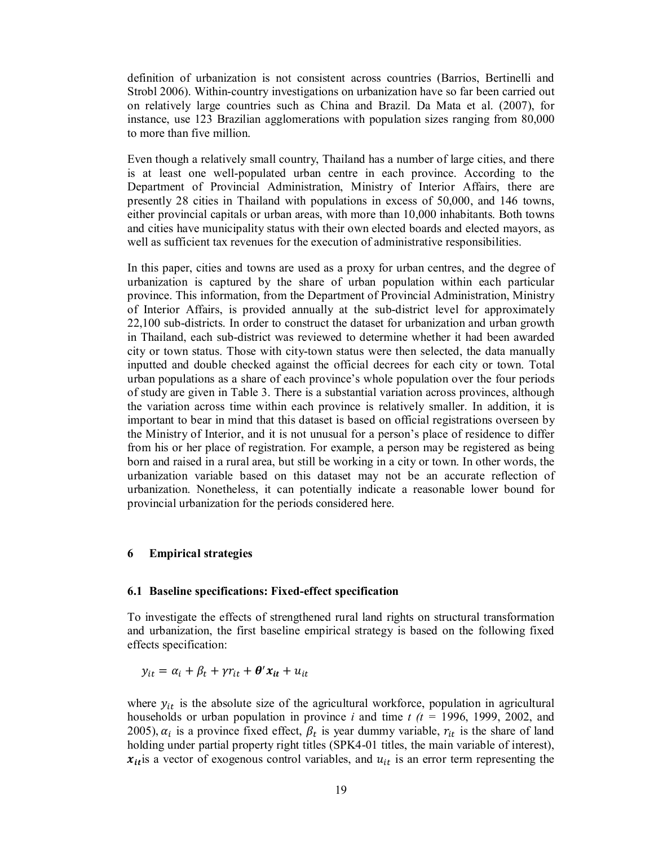definition of urbanization is not consistent across countries (Barrios, Bertinelli and Strobl 2006). Within-country investigations on urbanization have so far been carried out on relatively large countries such as China and Brazil. Da Mata et al. (2007), for instance, use 123 Brazilian agglomerations with population sizes ranging from 80,000 to more than five million.

Even though a relatively small country, Thailand has a number of large cities, and there is at least one well-populated urban centre in each province. According to the Department of Provincial Administration, Ministry of Interior Affairs, there are presently 28 cities in Thailand with populations in excess of 50,000, and 146 towns, either provincial capitals or urban areas, with more than 10,000 inhabitants. Both towns and cities have municipality status with their own elected boards and elected mayors, as well as sufficient tax revenues for the execution of administrative responsibilities.

In this paper, cities and towns are used as a proxy for urban centres, and the degree of urbanization is captured by the share of urban population within each particular province. This information, from the Department of Provincial Administration, Ministry of Interior Affairs, is provided annually at the sub-district level for approximately 22,100 sub-districts. In order to construct the dataset for urbanization and urban growth in Thailand, each sub-district was reviewed to determine whether it had been awarded city or town status. Those with city-town status were then selected, the data manually inputted and double checked against the official decrees for each city or town. Total urban populations as a share of each province's whole population over the four periods of study are given in Table 3. There is a substantial variation across provinces, although the variation across time within each province is relatively smaller. In addition, it is important to bear in mind that this dataset is based on official registrations overseen by the Ministry of Interior, and it is not unusual for a person's place of residence to differ from his or her place of registration. For example, a person may be registered as being born and raised in a rural area, but still be working in a city or town. In other words, the urbanization variable based on this dataset may not be an accurate reflection of urbanization. Nonetheless, it can potentially indicate a reasonable lower bound for provincial urbanization for the periods considered here.

#### **6 Empirical strategies**

#### **6.1 Baseline specifications: Fixed-effect specification**

To investigate the effects of strengthened rural land rights on structural transformation and urbanization, the first baseline empirical strategy is based on the following fixed effects specification:

$$
y_{it} = \alpha_i + \beta_t + \gamma r_{it} + \theta' x_{it} + u_{it}
$$

where  $y_{it}$  is the absolute size of the agricultural workforce, population in agricultural households or urban population in province *i* and time *t (t =* 1996, 1999, 2002, and 2005),  $\alpha_i$  is a province fixed effect,  $\beta_t$  is year dummy variable,  $r_{it}$  is the share of land holding under partial property right titles (SPK4-01 titles, the main variable of interest),  $x_{it}$  is a vector of exogenous control variables, and  $u_{it}$  is an error term representing the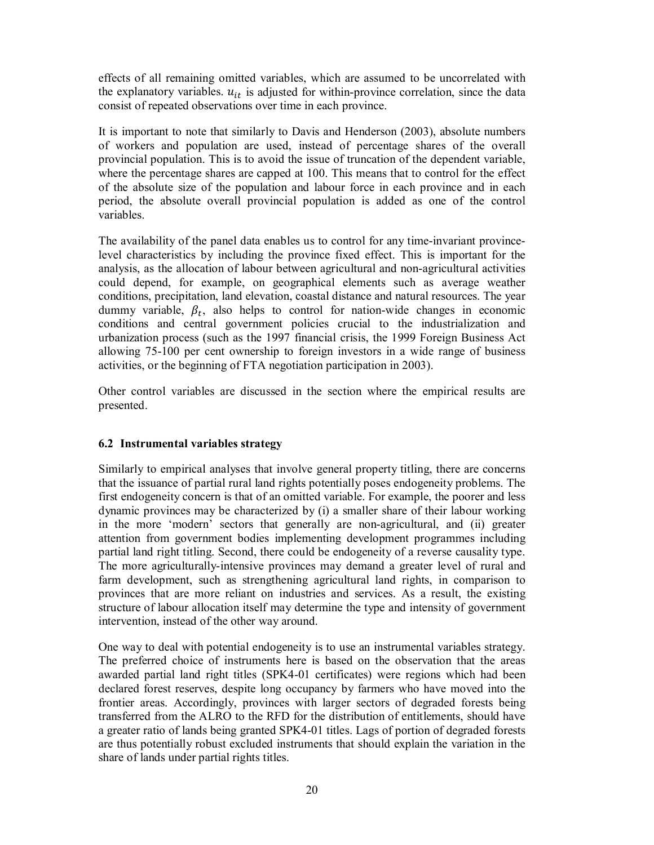effects of all remaining omitted variables, which are assumed to be uncorrelated with the explanatory variables.  $u_{it}$  is adjusted for within-province correlation, since the data consist of repeated observations over time in each province.

It is important to note that similarly to Davis and Henderson (2003), absolute numbers of workers and population are used, instead of percentage shares of the overall provincial population. This is to avoid the issue of truncation of the dependent variable, where the percentage shares are capped at 100. This means that to control for the effect of the absolute size of the population and labour force in each province and in each period, the absolute overall provincial population is added as one of the control variables.

The availability of the panel data enables us to control for any time-invariant provincelevel characteristics by including the province fixed effect. This is important for the analysis, as the allocation of labour between agricultural and non-agricultural activities could depend, for example, on geographical elements such as average weather conditions, precipitation, land elevation, coastal distance and natural resources. The year dummy variable,  $\beta_t$ , also helps to control for nation-wide changes in economic conditions and central government policies crucial to the industrialization and urbanization process (such as the 1997 financial crisis, the 1999 Foreign Business Act allowing 75-100 per cent ownership to foreign investors in a wide range of business activities, or the beginning of FTA negotiation participation in 2003).

Other control variables are discussed in the section where the empirical results are presented.

# **6.2 Instrumental variables strategy**

Similarly to empirical analyses that involve general property titling, there are concerns that the issuance of partial rural land rights potentially poses endogeneity problems. The first endogeneity concern is that of an omitted variable. For example, the poorer and less dynamic provinces may be characterized by (i) a smaller share of their labour working in the more 'modern' sectors that generally are non-agricultural, and (ii) greater attention from government bodies implementing development programmes including partial land right titling. Second, there could be endogeneity of a reverse causality type. The more agriculturally-intensive provinces may demand a greater level of rural and farm development, such as strengthening agricultural land rights, in comparison to provinces that are more reliant on industries and services. As a result, the existing structure of labour allocation itself may determine the type and intensity of government intervention, instead of the other way around.

One way to deal with potential endogeneity is to use an instrumental variables strategy. The preferred choice of instruments here is based on the observation that the areas awarded partial land right titles (SPK4-01 certificates) were regions which had been declared forest reserves, despite long occupancy by farmers who have moved into the frontier areas. Accordingly, provinces with larger sectors of degraded forests being transferred from the ALRO to the RFD for the distribution of entitlements, should have a greater ratio of lands being granted SPK4-01 titles. Lags of portion of degraded forests are thus potentially robust excluded instruments that should explain the variation in the share of lands under partial rights titles.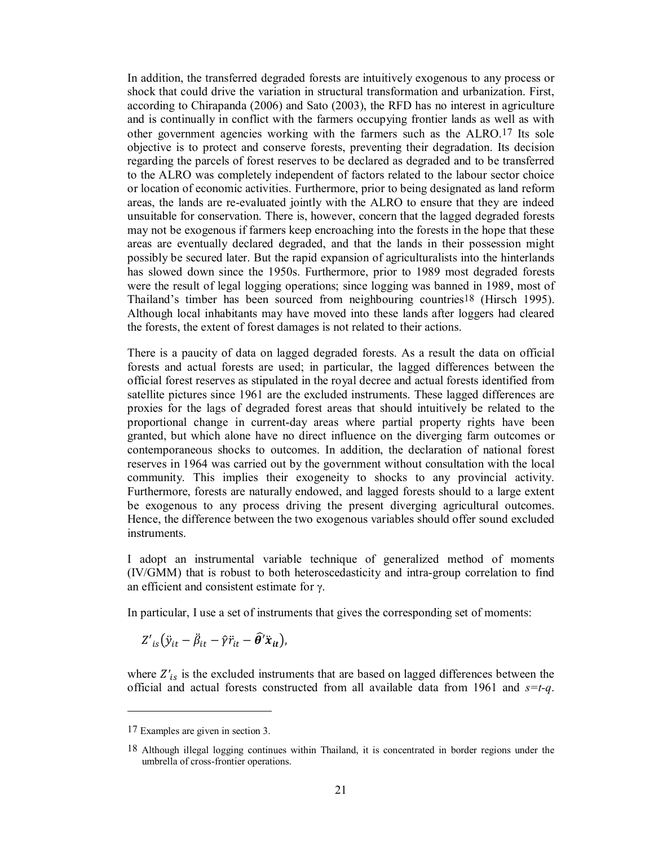In addition, the transferred degraded forests are intuitively exogenous to any process or shock that could drive the variation in structural transformation and urbanization. First, according to Chirapanda (2006) and Sato (2003), the RFD has no interest in agriculture and is continually in conflict with the farmers occupying frontier lands as well as with other government agencies working with the farmers such as the ALRO.17 Its sole objective is to protect and conserve forests, preventing their degradation. Its decision regarding the parcels of forest reserves to be declared as degraded and to be transferred to the ALRO was completely independent of factors related to the labour sector choice or location of economic activities. Furthermore, prior to being designated as land reform areas, the lands are re-evaluated jointly with the ALRO to ensure that they are indeed unsuitable for conservation. There is, however, concern that the lagged degraded forests may not be exogenous if farmers keep encroaching into the forests in the hope that these areas are eventually declared degraded, and that the lands in their possession might possibly be secured later. But the rapid expansion of agriculturalists into the hinterlands has slowed down since the 1950s. Furthermore, prior to 1989 most degraded forests were the result of legal logging operations; since logging was banned in 1989, most of Thailand's timber has been sourced from neighbouring countries18 (Hirsch 1995). Although local inhabitants may have moved into these lands after loggers had cleared the forests, the extent of forest damages is not related to their actions.

There is a paucity of data on lagged degraded forests. As a result the data on official forests and actual forests are used; in particular, the lagged differences between the official forest reserves as stipulated in the royal decree and actual forests identified from satellite pictures since 1961 are the excluded instruments. These lagged differences are proxies for the lags of degraded forest areas that should intuitively be related to the proportional change in current-day areas where partial property rights have been granted, but which alone have no direct influence on the diverging farm outcomes or contemporaneous shocks to outcomes. In addition, the declaration of national forest reserves in 1964 was carried out by the government without consultation with the local community. This implies their exogeneity to shocks to any provincial activity. Furthermore, forests are naturally endowed, and lagged forests should to a large extent be exogenous to any process driving the present diverging agricultural outcomes. Hence, the difference between the two exogenous variables should offer sound excluded **instruments** 

I adopt an instrumental variable technique of generalized method of moments (IV/GMM) that is robust to both heteroscedasticity and intra-group correlation to find an efficient and consistent estimate for γ.

In particular, I use a set of instruments that gives the corresponding set of moments:

$$
Z'_{is}(\ddot{y}_{it}-\ddot{\beta}_{it}-\hat{\gamma}\ddot{r}_{it}-\widehat{\theta}'\ddot{x}_{it}),
$$

where  $Z'_{is}$  is the excluded instruments that are based on lagged differences between the official and actual forests constructed from all available data from 1961 and *s=t-q*.

 $\overline{\phantom{a}}$ 

<sup>17</sup> Examples are given in section 3.

<sup>18</sup> Although illegal logging continues within Thailand, it is concentrated in border regions under the umbrella of cross-frontier operations.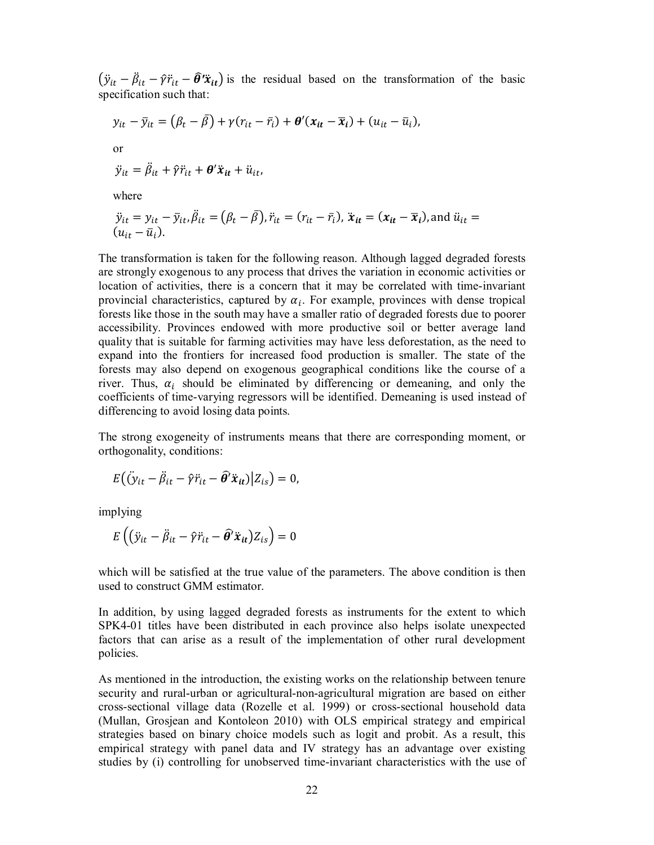$(\ddot{y}_{it} - \ddot{\beta}_{it} - \hat{\gamma}\ddot{r}_{it} - \hat{\theta}'\ddot{x}_{it})$  is the residual based on the transformation of the basic specification such that:

$$
y_{it} - \bar{y}_{it} = (\beta_t - \bar{\beta}) + \gamma (r_{it} - \bar{r}_i) + \theta'(x_{it} - \bar{x}_i) + (u_{it} - \bar{u}_i),
$$
  
or  

$$
\ddot{y}_{it} = \ddot{\beta}_{it} + \hat{\gamma} \ddot{r}_{it} + \theta' \ddot{x}_{it} + \ddot{u}_{it},
$$

where

$$
\ddot{y}_{it} = y_{it} - \bar{y}_{it}, \ddot{\beta}_{it} = (\beta_t - \bar{\beta}), \ddot{r}_{it} = (r_{it} - \bar{r}_i), \ddot{x}_{it} = (x_{it} - \bar{x}_i), \text{and } \ddot{u}_{it} = (u_{it} - \bar{u}_i).
$$

The transformation is taken for the following reason. Although lagged degraded forests are strongly exogenous to any process that drives the variation in economic activities or location of activities, there is a concern that it may be correlated with time-invariant provincial characteristics, captured by  $\alpha_i$ . For example, provinces with dense tropical forests like those in the south may have a smaller ratio of degraded forests due to poorer accessibility. Provinces endowed with more productive soil or better average land quality that is suitable for farming activities may have less deforestation, as the need to expand into the frontiers for increased food production is smaller. The state of the forests may also depend on exogenous geographical conditions like the course of a river. Thus,  $\alpha_i$  should be eliminated by differencing or demeaning, and only the coefficients of time-varying regressors will be identified. Demeaning is used instead of differencing to avoid losing data points.

The strong exogeneity of instruments means that there are corresponding moment, or orthogonality, conditions:

$$
E((\ddot{y}_{it} - \ddot{\beta}_{it} - \hat{\gamma}\ddot{r}_{it} - \hat{\theta}'\ddot{x}_{it})|Z_{is}) = 0,
$$

implying

$$
E\left((\ddot{y}_{it} - \ddot{\beta}_{it} - \hat{\gamma}\ddot{r}_{it} - \hat{\theta}'\ddot{x}_{it})Z_{is}\right) = 0
$$

which will be satisfied at the true value of the parameters. The above condition is then used to construct GMM estimator.

In addition, by using lagged degraded forests as instruments for the extent to which SPK4-01 titles have been distributed in each province also helps isolate unexpected factors that can arise as a result of the implementation of other rural development policies.

As mentioned in the introduction, the existing works on the relationship between tenure security and rural-urban or agricultural-non-agricultural migration are based on either cross-sectional village data (Rozelle et al. 1999) or cross-sectional household data (Mullan, Grosjean and Kontoleon 2010) with OLS empirical strategy and empirical strategies based on binary choice models such as logit and probit. As a result, this empirical strategy with panel data and IV strategy has an advantage over existing studies by (i) controlling for unobserved time-invariant characteristics with the use of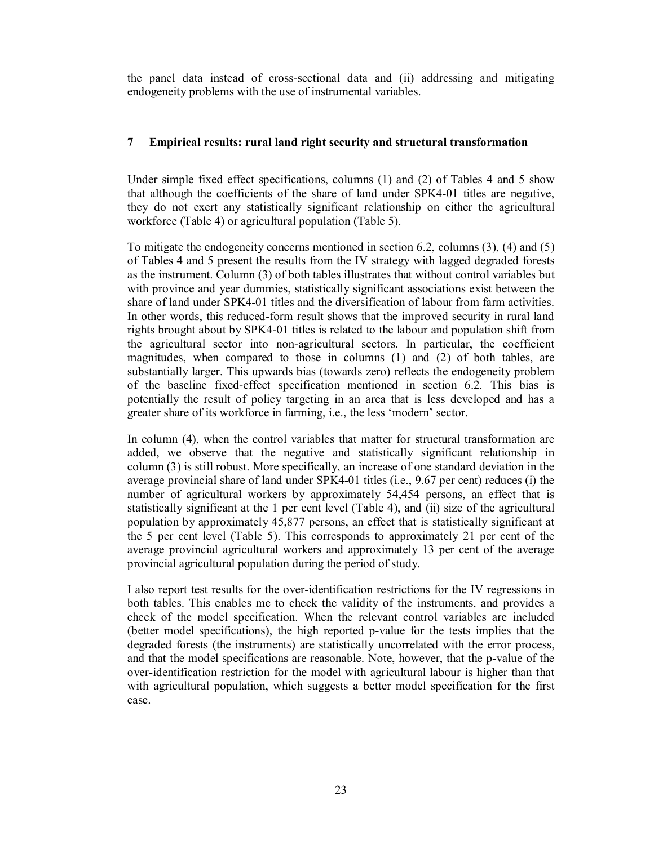the panel data instead of cross-sectional data and (ii) addressing and mitigating endogeneity problems with the use of instrumental variables.

# **7 Empirical results: rural land right security and structural transformation**

Under simple fixed effect specifications, columns (1) and (2) of Tables 4 and 5 show that although the coefficients of the share of land under SPK4-01 titles are negative, they do not exert any statistically significant relationship on either the agricultural workforce (Table 4) or agricultural population (Table 5).

To mitigate the endogeneity concerns mentioned in section 6.2, columns (3), (4) and (5) of Tables 4 and 5 present the results from the IV strategy with lagged degraded forests as the instrument. Column (3) of both tables illustrates that without control variables but with province and year dummies, statistically significant associations exist between the share of land under SPK4-01 titles and the diversification of labour from farm activities. In other words, this reduced-form result shows that the improved security in rural land rights brought about by SPK4-01 titles is related to the labour and population shift from the agricultural sector into non-agricultural sectors. In particular, the coefficient magnitudes, when compared to those in columns (1) and (2) of both tables, are substantially larger. This upwards bias (towards zero) reflects the endogeneity problem of the baseline fixed-effect specification mentioned in section 6.2. This bias is potentially the result of policy targeting in an area that is less developed and has a greater share of its workforce in farming, i.e., the less 'modern' sector.

In column (4), when the control variables that matter for structural transformation are added, we observe that the negative and statistically significant relationship in column (3) is still robust. More specifically, an increase of one standard deviation in the average provincial share of land under SPK4-01 titles (i.e., 9.67 per cent) reduces (i) the number of agricultural workers by approximately 54,454 persons, an effect that is statistically significant at the 1 per cent level (Table 4), and (ii) size of the agricultural population by approximately 45,877 persons, an effect that is statistically significant at the 5 per cent level (Table 5). This corresponds to approximately 21 per cent of the average provincial agricultural workers and approximately 13 per cent of the average provincial agricultural population during the period of study.

I also report test results for the over-identification restrictions for the IV regressions in both tables. This enables me to check the validity of the instruments, and provides a check of the model specification. When the relevant control variables are included (better model specifications), the high reported p-value for the tests implies that the degraded forests (the instruments) are statistically uncorrelated with the error process, and that the model specifications are reasonable. Note, however, that the p-value of the over-identification restriction for the model with agricultural labour is higher than that with agricultural population, which suggests a better model specification for the first case.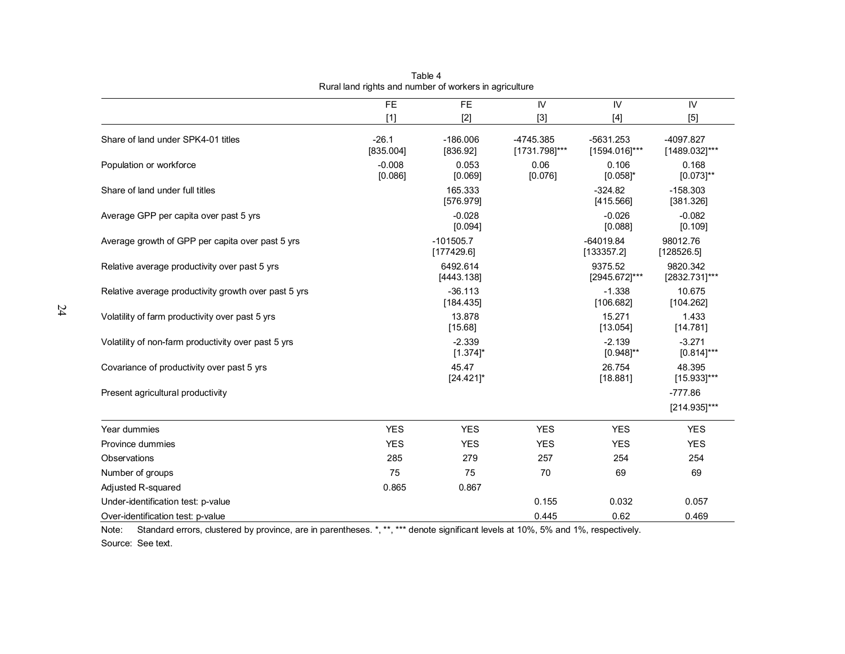|                                                      | <b>FE</b>            | <b>FE</b>                 | IV                           | IV                           | IV                           |
|------------------------------------------------------|----------------------|---------------------------|------------------------------|------------------------------|------------------------------|
|                                                      | $[1]$                | $[2]$                     | $[3]$                        | $[4]$                        | $[5]$                        |
| Share of land under SPK4-01 titles                   | $-26.1$<br>[835.004] | $-186.006$<br>[836.92]    | $-4745.385$<br>[1731.798]*** | $-5631.253$<br>[1594.016]*** | $-4097.827$<br>[1489.032]*** |
| Population or workforce                              | $-0.008$<br>[0.086]  | 0.053<br>[0.069]          | 0.06<br>[0.076]              | 0.106<br>$[0.058]$ *         | 0.168<br>$[0.073]^{**}$      |
| Share of land under full titles                      |                      | 165.333<br>[576.979]      |                              | $-324.82$<br>[415.566]       | $-158.303$<br>[381.326]      |
| Average GPP per capita over past 5 yrs               |                      | $-0.028$<br>[0.094]       |                              | $-0.026$<br>[0.088]          | $-0.082$<br>[0.109]          |
| Average growth of GPP per capita over past 5 yrs     |                      | $-101505.7$<br>[177429.6] |                              | $-64019.84$<br>[133357.2]    | 98012.76<br>[128526.5]       |
| Relative average productivity over past 5 yrs        |                      | 6492.614<br>[4443.138]    |                              | 9375.52<br>[2945.672]***     | 9820.342<br>[2832.731]***    |
| Relative average productivity growth over past 5 yrs |                      | $-36.113$<br>[184.435]    |                              | $-1.338$<br>[106.682]        | 10.675<br>[104.262]          |
| Volatility of farm productivity over past 5 yrs      |                      | 13.878<br>[15.68]         |                              | 15.271<br>[13.054]           | 1.433<br>[14.781]            |
| Volatility of non-farm productivity over past 5 yrs  |                      | $-2.339$<br>$[1.374]$ *   |                              | $-2.139$<br>$[0.948]^{**}$   | $-3.271$<br>$[0.814]$ ***    |
| Covariance of productivity over past 5 yrs           |                      | 45.47<br>$[24.421]$ *     |                              | 26.754<br>[18.881]           | 48.395<br>$[15.933]$ ***     |
| Present agricultural productivity                    |                      |                           |                              |                              | $-777.86$<br>$[214.935]$ *** |
| Year dummies                                         | <b>YES</b>           | <b>YES</b>                | <b>YES</b>                   | <b>YES</b>                   | <b>YES</b>                   |
| Province dummies                                     | <b>YES</b>           | <b>YES</b>                | <b>YES</b>                   | <b>YES</b>                   | <b>YES</b>                   |
| Observations                                         | 285                  | 279                       | 257                          | 254                          | 254                          |
| Number of groups                                     | 75                   | 75                        | 70                           | 69                           | 69                           |
| Adjusted R-squared                                   | 0.865                | 0.867                     |                              |                              |                              |
| Under-identification test: p-value                   |                      |                           | 0.155                        | 0.032                        | 0.057                        |
| Over-identification test: p-value                    |                      |                           | 0.445                        | 0.62                         | 0.469                        |

Table 4 Rural land rights and number of workers in agriculture

Note: Standard errors, clustered by province, are in parentheses. \*, \*\*, \*\*\* denote significant levels at 10%, 5% and 1%, respectively. Source: See text.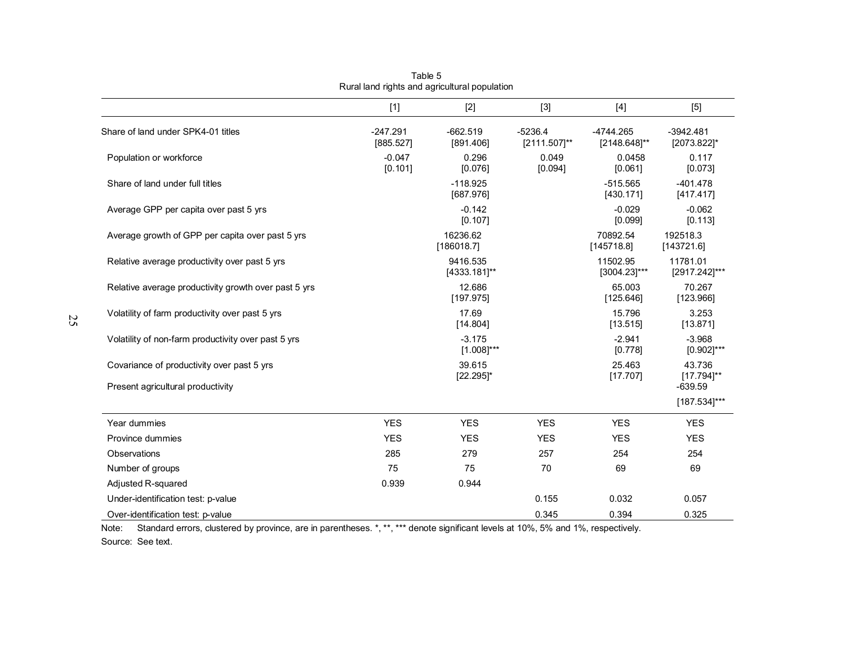|                                                      | $[1]$                   | $[2]$                       | $[3]$                     | $[4]$                       | $[5]$                      |
|------------------------------------------------------|-------------------------|-----------------------------|---------------------------|-----------------------------|----------------------------|
| Share of land under SPK4-01 titles                   | $-247.291$<br>[885.527] | $-662.519$<br>[891.406]     | $-5236.4$<br>[2111.507]** | $-4744.265$<br>[2148.648]** | $-3942.481$<br>[2073.822]* |
| Population or workforce                              | $-0.047$<br>[0.101]     | 0.296<br>[0.076]            | 0.049<br>[0.094]          | 0.0458<br>[0.061]           | 0.117<br>[0.073]           |
| Share of land under full titles                      |                         | $-118.925$<br>[687.976]     |                           | $-515.565$<br>[430.171]     | $-401.478$<br>[417.417]    |
| Average GPP per capita over past 5 yrs               |                         | $-0.142$<br>[0.107]         |                           | $-0.029$<br>[0.099]         | $-0.062$<br>[0.113]        |
| Average growth of GPP per capita over past 5 yrs     |                         | 16236.62<br>[186018.7]      |                           | 70892.54<br>[145718.8]      | 192518.3<br>[143721.6]     |
| Relative average productivity over past 5 yrs        |                         | 9416.535<br>[4333.181]**    |                           | 11502.95<br>$[3004.23]$ *** | 11781.01<br>[2917.242]***  |
| Relative average productivity growth over past 5 yrs |                         | 12.686<br>[197.975]         |                           | 65.003<br>[125.646]         | 70.267<br>[123.966]        |
| Volatility of farm productivity over past 5 yrs      |                         | 17.69<br>[14.804]           |                           | 15.796<br>[13.515]          | 3.253<br>[13.871]          |
| Volatility of non-farm productivity over past 5 yrs  |                         | $-3.175$<br>$[1.008]^{***}$ |                           | $-2.941$<br>[0.778]         | $-3.968$<br>$[0.902]$ ***  |
| Covariance of productivity over past 5 yrs           |                         | 39.615<br>$[22.295]$ *      |                           | 25.463<br>[17.707]          | 43.736<br>$[17.794]^{**}$  |
| Present agricultural productivity                    |                         |                             |                           |                             | $-639.59$<br>[187.534]***  |
| Year dummies                                         | <b>YES</b>              | <b>YES</b>                  | <b>YES</b>                | <b>YES</b>                  | <b>YES</b>                 |
| Province dummies                                     | <b>YES</b>              | <b>YES</b>                  | <b>YES</b>                | <b>YES</b>                  | <b>YES</b>                 |
| Observations                                         | 285                     | 279                         | 257                       | 254                         | 254                        |
| Number of groups                                     | 75                      | 75                          | 70                        | 69                          | 69                         |
| Adjusted R-squared                                   | 0.939                   | 0.944                       |                           |                             |                            |
| Under-identification test: p-value                   |                         |                             | 0.155                     | 0.032                       | 0.057                      |
| Over-identification test: p-value                    |                         |                             | 0.345                     | 0.394                       | 0.325                      |

Table 5 Rural land rights and agricultural population

Note: Standard errors, clustered by province, are in parentheses. \*, \*\*, \*\*\* denote significant levels at 10%, 5% and 1%, respectively. Source: See text.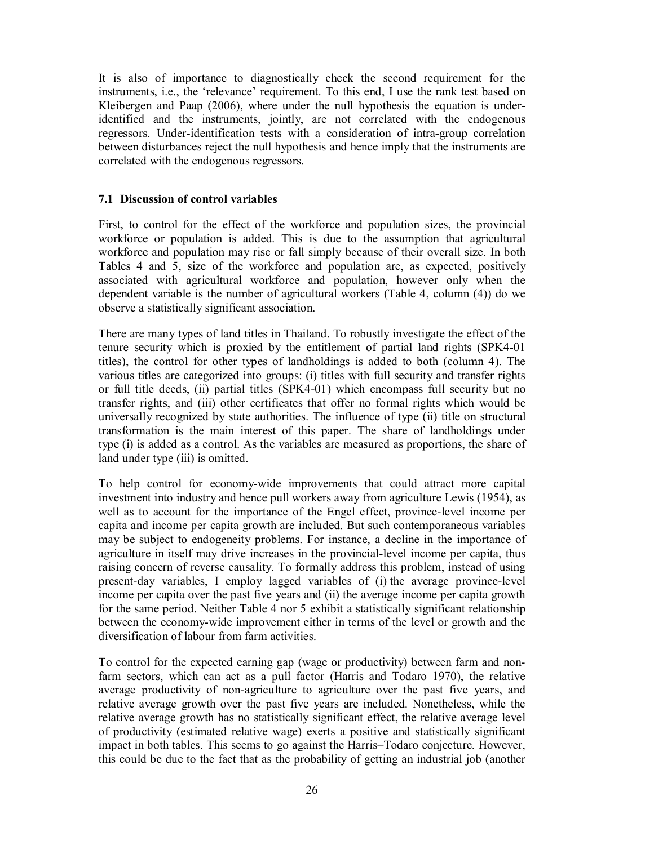It is also of importance to diagnostically check the second requirement for the instruments, i.e., the 'relevance' requirement. To this end, I use the rank test based on Kleibergen and Paap (2006), where under the null hypothesis the equation is underidentified and the instruments, jointly, are not correlated with the endogenous regressors. Under-identification tests with a consideration of intra-group correlation between disturbances reject the null hypothesis and hence imply that the instruments are correlated with the endogenous regressors.

# **7.1 Discussion of control variables**

First, to control for the effect of the workforce and population sizes, the provincial workforce or population is added. This is due to the assumption that agricultural workforce and population may rise or fall simply because of their overall size. In both Tables 4 and 5, size of the workforce and population are, as expected, positively associated with agricultural workforce and population, however only when the dependent variable is the number of agricultural workers (Table 4, column (4)) do we observe a statistically significant association.

There are many types of land titles in Thailand. To robustly investigate the effect of the tenure security which is proxied by the entitlement of partial land rights (SPK4-01 titles), the control for other types of landholdings is added to both (column 4). The various titles are categorized into groups: (i) titles with full security and transfer rights or full title deeds, (ii) partial titles (SPK4-01) which encompass full security but no transfer rights, and (iii) other certificates that offer no formal rights which would be universally recognized by state authorities. The influence of type (ii) title on structural transformation is the main interest of this paper. The share of landholdings under type (i) is added as a control. As the variables are measured as proportions, the share of land under type (iii) is omitted.

To help control for economy-wide improvements that could attract more capital investment into industry and hence pull workers away from agriculture Lewis (1954), as well as to account for the importance of the Engel effect, province-level income per capita and income per capita growth are included. But such contemporaneous variables may be subject to endogeneity problems. For instance, a decline in the importance of agriculture in itself may drive increases in the provincial-level income per capita, thus raising concern of reverse causality. To formally address this problem, instead of using present-day variables, I employ lagged variables of (i) the average province-level income per capita over the past five years and (ii) the average income per capita growth for the same period. Neither Table 4 nor 5 exhibit a statistically significant relationship between the economy-wide improvement either in terms of the level or growth and the diversification of labour from farm activities.

To control for the expected earning gap (wage or productivity) between farm and nonfarm sectors, which can act as a pull factor (Harris and Todaro 1970), the relative average productivity of non-agriculture to agriculture over the past five years, and relative average growth over the past five years are included. Nonetheless, while the relative average growth has no statistically significant effect, the relative average level of productivity (estimated relative wage) exerts a positive and statistically significant impact in both tables. This seems to go against the Harris–Todaro conjecture. However, this could be due to the fact that as the probability of getting an industrial job (another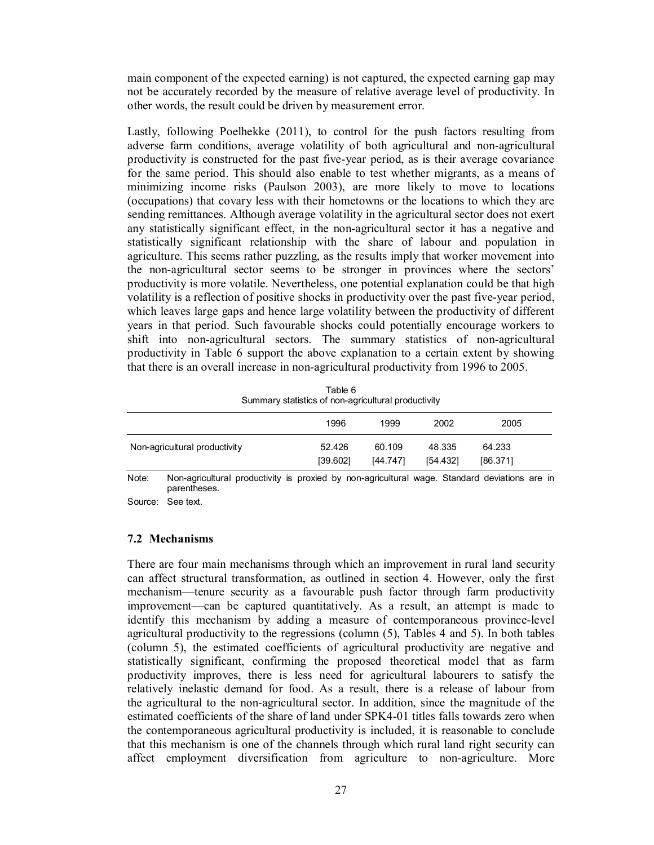main component of the expected earning) is not captured, the expected earning gap may not be accurately recorded by the measure of relative average level of productivity. In other words, the result could be driven by measurement error.

Lastly, following Poelhekke (2011), to control for the push factors resulting from adverse farm conditions, average volatility of both agricultural and non-agricultural productivity is constructed for the past five-year period, as is their average covariance for the same period. This should also enable to test whether migrants, as a means of minimizing income risks (Paulson 2003), are more likely to move to locations (occupations) that covary less with their hometowns or the locations to which they are sending remittances. Although average volatility in the agricultural sector does not exert any statistically significant effect, in the non-agricultural sector it has a negative and statistically significant relationship with the share of labour and population in agriculture. This seems rather puzzling, as the results imply that worker movement into the non-agricultural sector seems to be stronger in provinces where the sectors' productivity is more volatile. Nevertheless, one potential explanation could be that high volatility is a reflection of positive shocks in productivity over the past five-year period, which leaves large gaps and hence large volatility between the productivity of different years in that period. Such favourable shocks could potentially encourage workers to shift into non-agricultural sectors. The summary statistics of non-agricultural productivity in Table 6 support the above explanation to a certain extent by showing that there is an overall increase in non-agricultural productivity from 1996 to 2005.

|                                                                                                                | Summary statistics of non-agricultural productivity |          |          |          |  |
|----------------------------------------------------------------------------------------------------------------|-----------------------------------------------------|----------|----------|----------|--|
|                                                                                                                | 1996                                                | 1999     | 2002     | 2005     |  |
| Non-agricultural productivity                                                                                  | 52.426                                              | 60.109   | 48.335   | 64.233   |  |
|                                                                                                                | [39.602]                                            | [44.747] | [54.432] | [86.371] |  |
| Nan cerisultural productivity is provised by non-cerisultural wome. Ctondered deviations are in<br>$N = 4 - 1$ |                                                     |          |          |          |  |

Table 6 Summary statistics of non-agricultural productivity

Note: Non-agricultural productivity is proxied by non-agricultural wage. Standard deviations are in parentheses.

Source: See text.

#### **7.2 Mechanisms**

There are four main mechanisms through which an improvement in rural land security can affect structural transformation, as outlined in section 4. However, only the first mechanism––tenure security as a favourable push factor through farm productivity improvement––can be captured quantitatively. As a result, an attempt is made to identify this mechanism by adding a measure of contemporaneous province-level agricultural productivity to the regressions (column (5), Tables 4 and 5). In both tables (column 5), the estimated coefficients of agricultural productivity are negative and statistically significant, confirming the proposed theoretical model that as farm productivity improves, there is less need for agricultural labourers to satisfy the relatively inelastic demand for food. As a result, there is a release of labour from the agricultural to the non-agricultural sector. In addition, since the magnitude of the estimated coefficients of the share of land under SPK4-01 titles falls towards zero when the contemporaneous agricultural productivity is included, it is reasonable to conclude that this mechanism is one of the channels through which rural land right security can affect employment diversification from agriculture to non-agriculture. More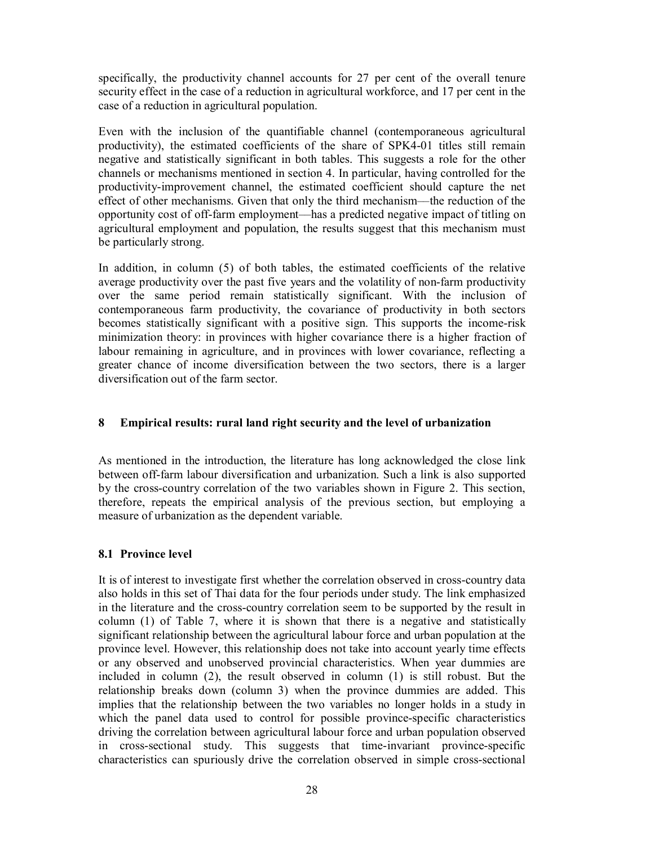specifically, the productivity channel accounts for 27 per cent of the overall tenure security effect in the case of a reduction in agricultural workforce, and 17 per cent in the case of a reduction in agricultural population.

Even with the inclusion of the quantifiable channel (contemporaneous agricultural productivity), the estimated coefficients of the share of SPK4-01 titles still remain negative and statistically significant in both tables. This suggests a role for the other channels or mechanisms mentioned in section 4. In particular, having controlled for the productivity-improvement channel, the estimated coefficient should capture the net effect of other mechanisms. Given that only the third mechanism––the reduction of the opportunity cost of off-farm employment––has a predicted negative impact of titling on agricultural employment and population, the results suggest that this mechanism must be particularly strong.

In addition, in column (5) of both tables, the estimated coefficients of the relative average productivity over the past five years and the volatility of non-farm productivity over the same period remain statistically significant. With the inclusion of contemporaneous farm productivity, the covariance of productivity in both sectors becomes statistically significant with a positive sign. This supports the income-risk minimization theory: in provinces with higher covariance there is a higher fraction of labour remaining in agriculture, and in provinces with lower covariance, reflecting a greater chance of income diversification between the two sectors, there is a larger diversification out of the farm sector.

# **8 Empirical results: rural land right security and the level of urbanization**

As mentioned in the introduction, the literature has long acknowledged the close link between off-farm labour diversification and urbanization. Such a link is also supported by the cross-country correlation of the two variables shown in Figure 2. This section, therefore, repeats the empirical analysis of the previous section, but employing a measure of urbanization as the dependent variable.

# **8.1 Province level**

It is of interest to investigate first whether the correlation observed in cross-country data also holds in this set of Thai data for the four periods under study. The link emphasized in the literature and the cross-country correlation seem to be supported by the result in column (1) of Table 7, where it is shown that there is a negative and statistically significant relationship between the agricultural labour force and urban population at the province level. However, this relationship does not take into account yearly time effects or any observed and unobserved provincial characteristics. When year dummies are included in column (2), the result observed in column (1) is still robust. But the relationship breaks down (column 3) when the province dummies are added. This implies that the relationship between the two variables no longer holds in a study in which the panel data used to control for possible province-specific characteristics driving the correlation between agricultural labour force and urban population observed in cross-sectional study. This suggests that time-invariant province-specific characteristics can spuriously drive the correlation observed in simple cross-sectional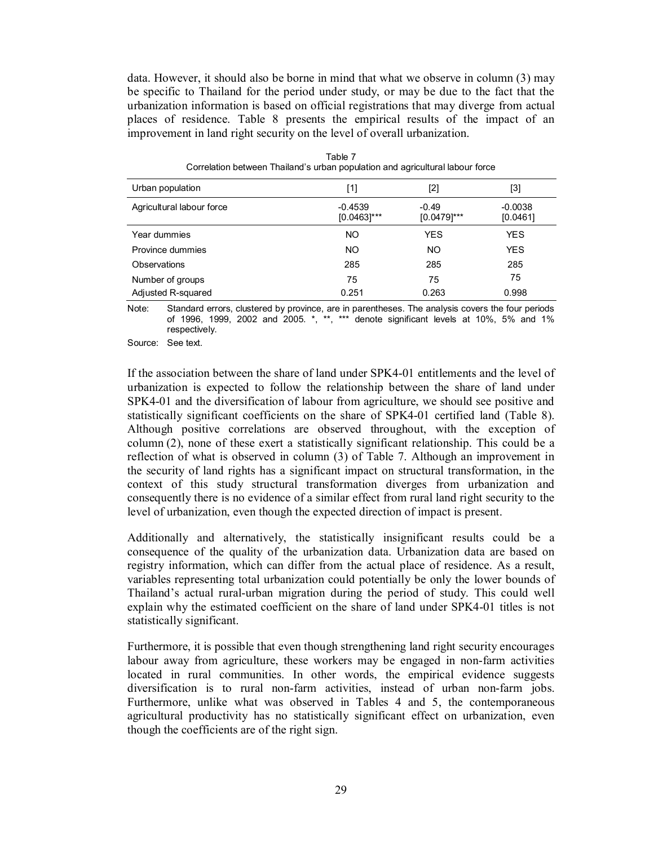data. However, it should also be borne in mind that what we observe in column (3) may be specific to Thailand for the period under study, or may be due to the fact that the urbanization information is based on official registrations that may diverge from actual places of residence. Table 8 presents the empirical results of the impact of an improvement in land right security on the level of overall urbanization.

| Urban population          | [1]                         |                           | [3]                   |
|---------------------------|-----------------------------|---------------------------|-----------------------|
| Agricultural labour force | $-0.4539$<br>$[0.0463]$ *** | $-0.49$<br>$[0.0479]$ *** | $-0.0038$<br>[0.0461] |
| Year dummies              | NO.                         | <b>YES</b>                | <b>YES</b>            |
| Province dummies          | NO.                         | NO.                       | <b>YES</b>            |
| Observations              | 285                         | 285                       | 285                   |
| Number of groups          | 75                          | 75                        | 75                    |
| Adjusted R-squared        | 0.251                       | 0.263                     | 0.998                 |

Table 7 Correlation between Thailand's urban population and agricultural labour force

Note: Standard errors, clustered by province, are in parentheses. The analysis covers the four periods of 1996, 1999, 2002 and 2005. \*, \*\*, \*\*\* denote significant levels at 10%, 5% and 1% respectively.

Source: See text.

If the association between the share of land under SPK4-01 entitlements and the level of urbanization is expected to follow the relationship between the share of land under SPK4-01 and the diversification of labour from agriculture, we should see positive and statistically significant coefficients on the share of SPK4-01 certified land (Table 8). Although positive correlations are observed throughout, with the exception of column (2), none of these exert a statistically significant relationship. This could be a reflection of what is observed in column (3) of Table 7. Although an improvement in the security of land rights has a significant impact on structural transformation, in the context of this study structural transformation diverges from urbanization and consequently there is no evidence of a similar effect from rural land right security to the level of urbanization, even though the expected direction of impact is present.

Additionally and alternatively, the statistically insignificant results could be a consequence of the quality of the urbanization data. Urbanization data are based on registry information, which can differ from the actual place of residence. As a result, variables representing total urbanization could potentially be only the lower bounds of Thailand's actual rural-urban migration during the period of study. This could well explain why the estimated coefficient on the share of land under SPK4-01 titles is not statistically significant.

Furthermore, it is possible that even though strengthening land right security encourages labour away from agriculture, these workers may be engaged in non-farm activities located in rural communities. In other words, the empirical evidence suggests diversification is to rural non-farm activities, instead of urban non-farm jobs. Furthermore, unlike what was observed in Tables 4 and 5, the contemporaneous agricultural productivity has no statistically significant effect on urbanization, even though the coefficients are of the right sign.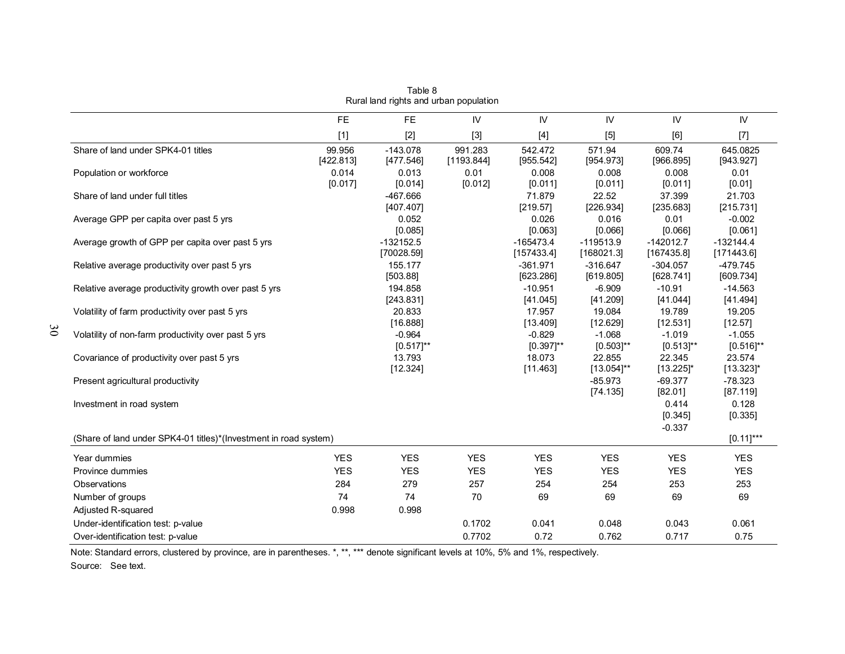|                                                                  | <b>FE</b>           | <b>FE</b>                  | IV                    | IV                         | IV                         | IV                           | IV                         |
|------------------------------------------------------------------|---------------------|----------------------------|-----------------------|----------------------------|----------------------------|------------------------------|----------------------------|
|                                                                  | $[1]$               | $[2]$                      | $[3]$                 |                            | [5]                        | [6]                          | $[7]$                      |
| Share of land under SPK4-01 titles                               | 99.956<br>[422.813] | $-143.078$<br>[477.546]    | 991.283<br>[1193.844] | 542.472<br>[955.542]       | 571.94<br>[954.973]        | 609.74<br>[966.895]          | 645.0825<br>[943.927]      |
| Population or workforce                                          | 0.014<br>[0.017]    | 0.013<br>[0.014]           | 0.01<br>[0.012]       | 0.008<br>[0.011]           | 0.008<br>[0.011]           | 0.008<br>[0.011]             | 0.01<br>[0.01]             |
| Share of land under full titles                                  |                     | $-467.666$<br>[407.407]    |                       | 71.879<br>[219.57]         | 22.52<br>[226.934]         | 37.399<br>[235.683]          | 21.703<br>[215.731]        |
| Average GPP per capita over past 5 yrs                           |                     | 0.052<br>[0.085]           |                       | 0.026<br>[0.063]           | 0.016<br>[0.066]           | 0.01<br>[0.066]              | $-0.002$<br>[0.061]        |
| Average growth of GPP per capita over past 5 yrs                 |                     | $-132152.5$<br>[70028.59]  |                       | $-165473.4$<br>[157433.4]  | $-119513.9$<br>[168021.3]  | $-142012.7$<br>[167435.8]    | $-132144.4$<br>[171443.6]  |
| Relative average productivity over past 5 yrs                    |                     | 155.177<br>[503.88]        |                       | $-361.971$<br>[623.286]    | $-316.647$<br>[619.805]    | $-304.057$<br>[628.741]      | $-479.745$<br>[609.734]    |
| Relative average productivity growth over past 5 yrs             |                     | 194.858<br>[243.831]       |                       | $-10.951$<br>[41.045]      | $-6.909$<br>[41.209]       | $-10.91$<br>[41.044]         | $-14.563$<br>[41.494]      |
| Volatility of farm productivity over past 5 yrs                  |                     | 20.833<br>[16.888]         |                       | 17.957<br>[13.409]         | 19.084<br>[12.629]         | 19.789<br>[12.531]           | 19.205<br>[12.57]          |
| Volatility of non-farm productivity over past 5 yrs              |                     | $-0.964$<br>$[0.517]^{**}$ |                       | $-0.829$<br>$[0.397]^{**}$ | $-1.068$<br>$[0.503]^{**}$ | $-1.019$<br>$[0.513]^{**}$   | $-1.055$<br>$[0.516]^{**}$ |
| Covariance of productivity over past 5 yrs                       |                     | 13.793<br>[12.324]         |                       | 18.073<br>[11.463]         | 22.855<br>$[13.054]^{**}$  | 22.345<br>$[13.225]$ *       | 23.574<br>$[13.323]$ *     |
| Present agricultural productivity                                |                     |                            |                       |                            | $-85.973$<br>[74.135]      | $-69.377$<br>[82.01]         | $-78.323$<br>[87.119]      |
| Investment in road system                                        |                     |                            |                       |                            |                            | 0.414<br>[0.345]<br>$-0.337$ | 0.128<br>[0.335]           |
| (Share of land under SPK4-01 titles)*(Investment in road system) |                     |                            |                       |                            |                            |                              | $[0.11]$ ***               |
| Year dummies                                                     | <b>YES</b>          | <b>YES</b>                 | <b>YES</b>            | <b>YES</b>                 | <b>YES</b>                 | <b>YES</b>                   | <b>YES</b>                 |
| Province dummies                                                 | <b>YES</b>          | <b>YES</b>                 | <b>YES</b>            | <b>YES</b>                 | <b>YES</b>                 | <b>YES</b>                   | <b>YES</b>                 |
| Observations                                                     | 284                 | 279                        | 257                   | 254                        | 254                        | 253                          | 253                        |
| Number of groups                                                 | 74                  | 74                         | 70                    | 69                         | 69                         | 69                           | 69                         |
| Adjusted R-squared                                               | 0.998               | 0.998                      |                       |                            |                            |                              |                            |
| Under-identification test: p-value                               |                     |                            | 0.1702                | 0.041                      | 0.048                      | 0.043                        | 0.061                      |
| Over-identification test: p-value                                |                     |                            | 0.7702                | 0.72                       | 0.762                      | 0.717                        | 0.75                       |

Table 8 Rural land rights and urban population

Note: Standard errors, clustered by province, are in parentheses. \*, \*\*, \*\*\* denote significant levels at 10%, 5% and 1%, respectively.

Source: See text.

30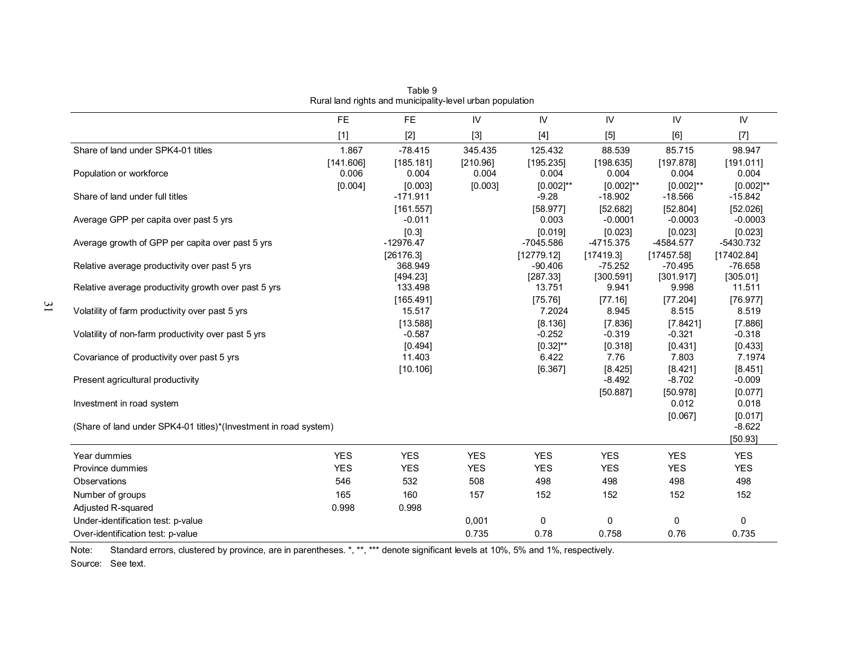|                                                                  | <b>FE</b>          | FE.                            | IV                | ${\sf IV}$                           | IV                               | IV                                   | IV                               |
|------------------------------------------------------------------|--------------------|--------------------------------|-------------------|--------------------------------------|----------------------------------|--------------------------------------|----------------------------------|
|                                                                  | $[1]$              | $[2]$                          | $[3]$             | $[4]$                                | [5]                              | [6]                                  | $[7]$                            |
| Share of land under SPK4-01 titles                               | 1.867              | $-78.415$                      | 345.435           | 125.432                              | 88.539                           | 85.715                               | 98.947                           |
| Population or workforce                                          | [141.606]<br>0.006 | [185.181]<br>0.004             | [210.96]<br>0.004 | [195.235]<br>0.004                   | [198.635]<br>0.004               | [197.878]<br>0.004                   | [191.011]<br>0.004               |
| Share of land under full titles                                  | [0.004]            | [0.003]<br>$-171.911$          | [0.003]           | $[0.002]^{**}$<br>$-9.28$            | $[0.002]^{**}$<br>$-18.902$      | $[0.002]^{**}$<br>$-18.566$          | $[0.002]^{**}$<br>$-15.842$      |
| Average GPP per capita over past 5 yrs                           |                    | [161.557]<br>$-0.011$<br>[0.3] |                   | [58.977]<br>0.003                    | [52.682]<br>$-0.0001$<br>[0.023] | [52.804]<br>$-0.0003$                | [52.026]<br>$-0.0003$<br>[0.023] |
| Average growth of GPP per capita over past 5 yrs                 |                    | $-12976.47$<br>[26176.3]       |                   | [0.019]<br>$-7045.586$<br>[12779.12] | $-4715.375$<br>[17419.3]         | [0.023]<br>$-4584.577$<br>[17457.58] | $-5430.732$<br>[17402.84]        |
| Relative average productivity over past 5 yrs                    |                    | 368.949<br>[494.23]            |                   | $-90.406$<br>[287.33]                | $-75.252$<br>[300.591]           | $-70.495$<br>[301.917]               | $-76.658$<br>[305.01]            |
| Relative average productivity growth over past 5 yrs             |                    | 133.498<br>[165.491]           |                   | 13.751<br>[75.76]                    | 9.941<br>[77.16]                 | 9.998<br>[77.204]                    | 11.511<br>[76.977]               |
| Volatility of farm productivity over past 5 yrs                  |                    | 15.517<br>[13.588]             |                   | 7.2024<br>[8.136]                    | 8.945<br>[7.836]                 | 8.515<br>[7.8421]                    | 8.519<br>[7.886]                 |
| Volatility of non-farm productivity over past 5 yrs              |                    | $-0.587$<br>[0.494]            |                   | $-0.252$<br>$[0.32]^{**}$            | $-0.319$<br>[0.318]              | $-0.321$<br>[0.431]                  | $-0.318$<br>[0.433]              |
| Covariance of productivity over past 5 yrs                       |                    | 11.403<br>[10.106]             |                   | 6.422<br>[6.367]                     | 7.76<br>[8.425]                  | 7.803<br>[8.421]                     | 7.1974<br>[8.451]                |
| Present agricultural productivity                                |                    |                                |                   |                                      | $-8.492$<br>[50.887]             | $-8.702$<br>[50.978]                 | $-0.009$<br>[0.077]              |
| Investment in road system                                        |                    |                                |                   |                                      |                                  | 0.012<br>[0.067]                     | 0.018<br>[0.017]                 |
| (Share of land under SPK4-01 titles)*(Investment in road system) |                    |                                |                   |                                      |                                  |                                      | $-8.622$<br>[50.93]              |
| Year dummies                                                     | <b>YES</b>         | <b>YES</b>                     | <b>YES</b>        | <b>YES</b>                           | <b>YES</b>                       | <b>YES</b>                           | <b>YES</b>                       |
| Province dummies                                                 | <b>YES</b>         | <b>YES</b>                     | <b>YES</b>        | <b>YES</b>                           | <b>YES</b>                       | <b>YES</b>                           | <b>YES</b>                       |
| Observations                                                     | 546                | 532                            | 508               | 498                                  | 498                              | 498                                  | 498                              |
| Number of groups                                                 | 165                | 160                            | 157               | 152                                  | 152                              | 152                                  | 152                              |
| Adjusted R-squared                                               | 0.998              | 0.998                          |                   |                                      |                                  |                                      |                                  |
| Under-identification test: p-value                               |                    |                                | 0,001             | 0                                    | 0                                | 0                                    | 0                                |
| Over-identification test: p-value                                |                    |                                | 0.735             | 0.78                                 | 0.758                            | 0.76                                 | 0.735                            |

Table 9 Rural land rights and municipality-level urban population

Note: Standard errors, clustered by province, are in parentheses. \*, \*\*, \*\*\* denote significant levels at 10%, 5% and 1%, respectively.

Source: See text.

31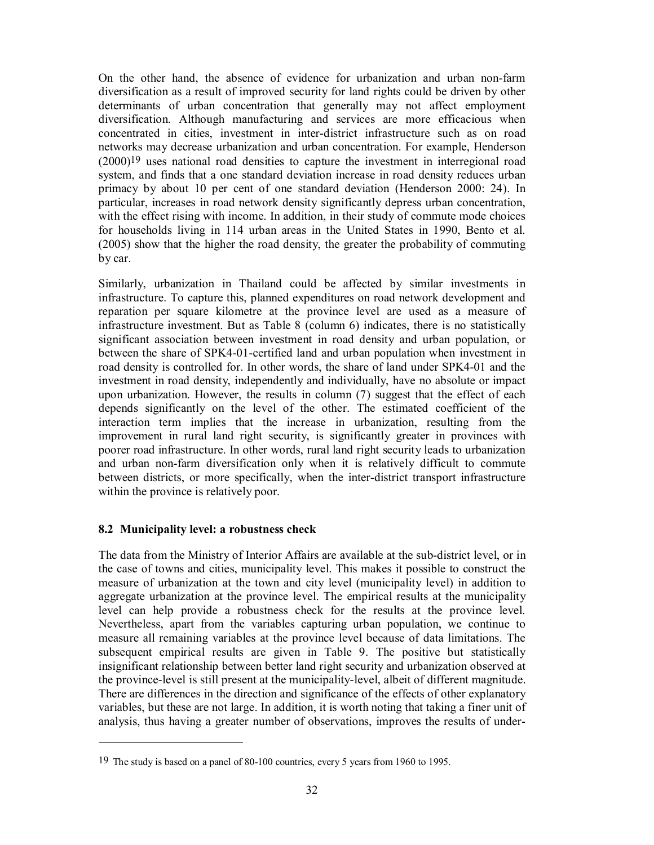On the other hand, the absence of evidence for urbanization and urban non-farm diversification as a result of improved security for land rights could be driven by other determinants of urban concentration that generally may not affect employment diversification. Although manufacturing and services are more efficacious when concentrated in cities, investment in inter-district infrastructure such as on road networks may decrease urbanization and urban concentration. For example, Henderson (2000)19 uses national road densities to capture the investment in interregional road system, and finds that a one standard deviation increase in road density reduces urban primacy by about 10 per cent of one standard deviation (Henderson 2000: 24). In particular, increases in road network density significantly depress urban concentration, with the effect rising with income. In addition, in their study of commute mode choices for households living in 114 urban areas in the United States in 1990, Bento et al. (2005) show that the higher the road density, the greater the probability of commuting by car.

Similarly, urbanization in Thailand could be affected by similar investments in infrastructure. To capture this, planned expenditures on road network development and reparation per square kilometre at the province level are used as a measure of infrastructure investment. But as Table 8 (column 6) indicates, there is no statistically significant association between investment in road density and urban population, or between the share of SPK4-01-certified land and urban population when investment in road density is controlled for. In other words, the share of land under SPK4-01 and the investment in road density, independently and individually, have no absolute or impact upon urbanization. However, the results in column (7) suggest that the effect of each depends significantly on the level of the other. The estimated coefficient of the interaction term implies that the increase in urbanization, resulting from the improvement in rural land right security, is significantly greater in provinces with poorer road infrastructure. In other words, rural land right security leads to urbanization and urban non-farm diversification only when it is relatively difficult to commute between districts, or more specifically, when the inter-district transport infrastructure within the province is relatively poor.

# **8.2 Municipality level: a robustness check**

-

The data from the Ministry of Interior Affairs are available at the sub-district level, or in the case of towns and cities, municipality level. This makes it possible to construct the measure of urbanization at the town and city level (municipality level) in addition to aggregate urbanization at the province level. The empirical results at the municipality level can help provide a robustness check for the results at the province level. Nevertheless, apart from the variables capturing urban population, we continue to measure all remaining variables at the province level because of data limitations. The subsequent empirical results are given in Table 9. The positive but statistically insignificant relationship between better land right security and urbanization observed at the province-level is still present at the municipality-level, albeit of different magnitude. There are differences in the direction and significance of the effects of other explanatory variables, but these are not large. In addition, it is worth noting that taking a finer unit of analysis, thus having a greater number of observations, improves the results of under-

<sup>19</sup> The study is based on a panel of 80-100 countries, every 5 years from 1960 to 1995.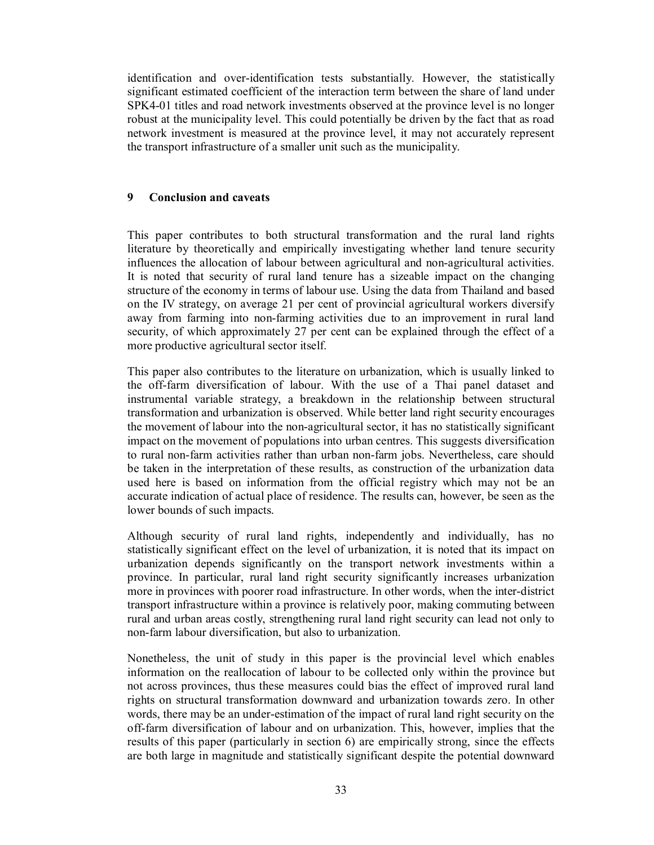identification and over-identification tests substantially. However, the statistically significant estimated coefficient of the interaction term between the share of land under SPK4-01 titles and road network investments observed at the province level is no longer robust at the municipality level. This could potentially be driven by the fact that as road network investment is measured at the province level, it may not accurately represent the transport infrastructure of a smaller unit such as the municipality.

## **9 Conclusion and caveats**

This paper contributes to both structural transformation and the rural land rights literature by theoretically and empirically investigating whether land tenure security influences the allocation of labour between agricultural and non-agricultural activities. It is noted that security of rural land tenure has a sizeable impact on the changing structure of the economy in terms of labour use. Using the data from Thailand and based on the IV strategy, on average 21 per cent of provincial agricultural workers diversify away from farming into non-farming activities due to an improvement in rural land security, of which approximately 27 per cent can be explained through the effect of a more productive agricultural sector itself.

This paper also contributes to the literature on urbanization, which is usually linked to the off-farm diversification of labour. With the use of a Thai panel dataset and instrumental variable strategy, a breakdown in the relationship between structural transformation and urbanization is observed. While better land right security encourages the movement of labour into the non-agricultural sector, it has no statistically significant impact on the movement of populations into urban centres. This suggests diversification to rural non-farm activities rather than urban non-farm jobs. Nevertheless, care should be taken in the interpretation of these results, as construction of the urbanization data used here is based on information from the official registry which may not be an accurate indication of actual place of residence. The results can, however, be seen as the lower bounds of such impacts.

Although security of rural land rights, independently and individually, has no statistically significant effect on the level of urbanization, it is noted that its impact on urbanization depends significantly on the transport network investments within a province. In particular, rural land right security significantly increases urbanization more in provinces with poorer road infrastructure. In other words, when the inter-district transport infrastructure within a province is relatively poor, making commuting between rural and urban areas costly, strengthening rural land right security can lead not only to non-farm labour diversification, but also to urbanization.

Nonetheless, the unit of study in this paper is the provincial level which enables information on the reallocation of labour to be collected only within the province but not across provinces, thus these measures could bias the effect of improved rural land rights on structural transformation downward and urbanization towards zero. In other words, there may be an under-estimation of the impact of rural land right security on the off-farm diversification of labour and on urbanization. This, however, implies that the results of this paper (particularly in section 6) are empirically strong, since the effects are both large in magnitude and statistically significant despite the potential downward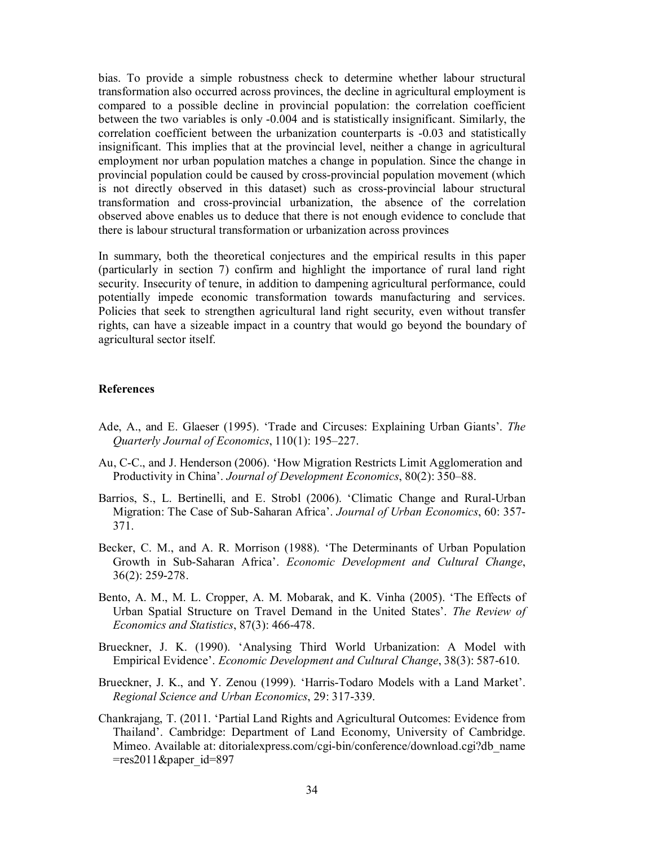bias. To provide a simple robustness check to determine whether labour structural transformation also occurred across provinces, the decline in agricultural employment is compared to a possible decline in provincial population: the correlation coefficient between the two variables is only -0.004 and is statistically insignificant. Similarly, the correlation coefficient between the urbanization counterparts is -0.03 and statistically insignificant. This implies that at the provincial level, neither a change in agricultural employment nor urban population matches a change in population. Since the change in provincial population could be caused by cross-provincial population movement (which is not directly observed in this dataset) such as cross-provincial labour structural transformation and cross-provincial urbanization, the absence of the correlation observed above enables us to deduce that there is not enough evidence to conclude that there is labour structural transformation or urbanization across provinces

In summary, both the theoretical conjectures and the empirical results in this paper (particularly in section 7) confirm and highlight the importance of rural land right security. Insecurity of tenure, in addition to dampening agricultural performance, could potentially impede economic transformation towards manufacturing and services. Policies that seek to strengthen agricultural land right security, even without transfer rights, can have a sizeable impact in a country that would go beyond the boundary of agricultural sector itself.

#### **References**

- Ade, A., and E. Glaeser (1995). 'Trade and Circuses: Explaining Urban Giants'. *The Quarterly Journal of Economics*, 110(1): 195–227.
- Au, C-C., and J. Henderson (2006). 'How Migration Restricts Limit Agglomeration and Productivity in China'. *Journal of Development Economics*, 80(2): 350–88.
- Barrios, S., L. Bertinelli, and E. Strobl (2006). 'Climatic Change and Rural-Urban Migration: The Case of Sub-Saharan Africa'. *Journal of Urban Economics*, 60: 357- 371.
- Becker, C. M., and A. R. Morrison (1988). 'The Determinants of Urban Population Growth in Sub-Saharan Africa'. *Economic Development and Cultural Change*, 36(2): 259-278.
- Bento, A. M., M. L. Cropper, A. M. Mobarak, and K. Vinha (2005). 'The Effects of Urban Spatial Structure on Travel Demand in the United States'. *The Review of Economics and Statistics*, 87(3): 466-478.
- Brueckner, J. K. (1990). 'Analysing Third World Urbanization: A Model with Empirical Evidence'. *Economic Development and Cultural Change*, 38(3): 587-610.
- Brueckner, J. K., and Y. Zenou (1999). 'Harris-Todaro Models with a Land Market'. *Regional Science and Urban Economics*, 29: 317-339.
- Chankrajang, T. (2011. 'Partial Land Rights and Agricultural Outcomes: Evidence from Thailand'. Cambridge: Department of Land Economy, University of Cambridge. Mimeo. Available at: ditorialexpress.com/cgi-bin/conference/download.cgi?db\_name  $=$ res2011&paper id=897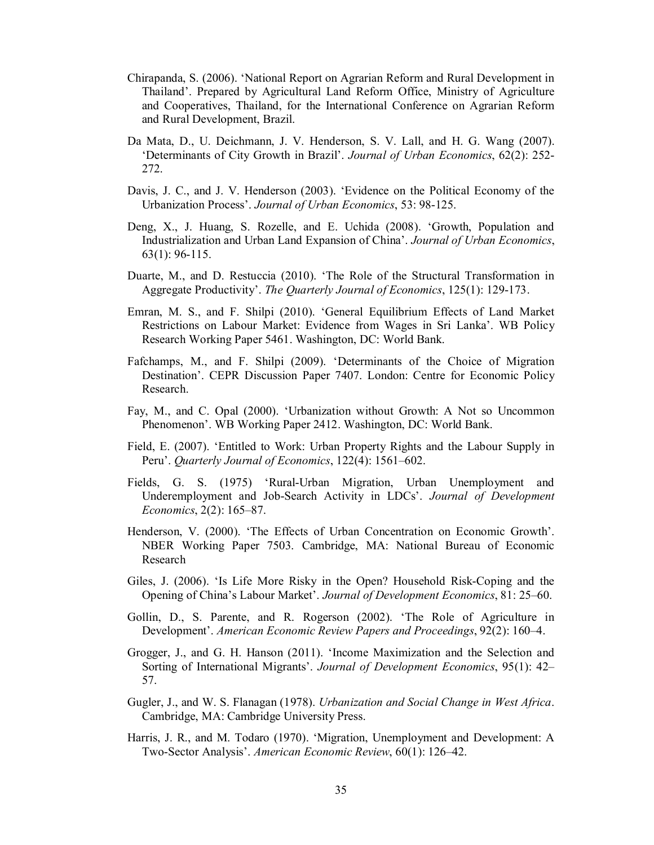- Chirapanda, S. (2006). 'National Report on Agrarian Reform and Rural Development in Thailand'. Prepared by Agricultural Land Reform Office, Ministry of Agriculture and Cooperatives, Thailand, for the International Conference on Agrarian Reform and Rural Development, Brazil.
- Da Mata, D., U. Deichmann, J. V. Henderson, S. V. Lall, and H. G. Wang (2007). 'Determinants of City Growth in Brazil'. *Journal of Urban Economics*, 62(2): 252- 272.
- Davis, J. C., and J. V. Henderson (2003). 'Evidence on the Political Economy of the Urbanization Process'. *Journal of Urban Economics*, 53: 98-125.
- Deng, X., J. Huang, S. Rozelle, and E. Uchida (2008). 'Growth, Population and Industrialization and Urban Land Expansion of China'. *Journal of Urban Economics*, 63(1): 96-115.
- Duarte, M., and D. Restuccia (2010). 'The Role of the Structural Transformation in Aggregate Productivity'. *The Quarterly Journal of Economics*, 125(1): 129-173.
- Emran, M. S., and F. Shilpi (2010). 'General Equilibrium Effects of Land Market Restrictions on Labour Market: Evidence from Wages in Sri Lanka'. WB Policy Research Working Paper 5461. Washington, DC: World Bank.
- Fafchamps, M., and F. Shilpi (2009). 'Determinants of the Choice of Migration Destination'. CEPR Discussion Paper 7407. London: Centre for Economic Policy Research.
- Fay, M., and C. Opal (2000). 'Urbanization without Growth: A Not so Uncommon Phenomenon'. WB Working Paper 2412. Washington, DC: World Bank.
- Field, E. (2007). 'Entitled to Work: Urban Property Rights and the Labour Supply in Peru'. *Quarterly Journal of Economics*, 122(4): 1561–602.
- Fields, G. S. (1975) 'Rural-Urban Migration, Urban Unemployment and Underemployment and Job-Search Activity in LDCs'. *Journal of Development Economics*, 2(2): 165–87.
- Henderson, V. (2000). 'The Effects of Urban Concentration on Economic Growth'. NBER Working Paper 7503. Cambridge, MA: National Bureau of Economic Research
- Giles, J. (2006). 'Is Life More Risky in the Open? Household Risk-Coping and the Opening of China's Labour Market'. *Journal of Development Economics*, 81: 25–60.
- Gollin, D., S. Parente, and R. Rogerson (2002). 'The Role of Agriculture in Development'. *American Economic Review Papers and Proceedings*, 92(2): 160–4.
- Grogger, J., and G. H. Hanson (2011). 'Income Maximization and the Selection and Sorting of International Migrants'. *Journal of Development Economics*, 95(1): 42– 57.
- Gugler, J., and W. S. Flanagan (1978). *Urbanization and Social Change in West Africa*. Cambridge, MA: Cambridge University Press.
- Harris, J. R., and M. Todaro (1970). 'Migration, Unemployment and Development: A Two-Sector Analysis'. *American Economic Review*, 60(1): 126–42.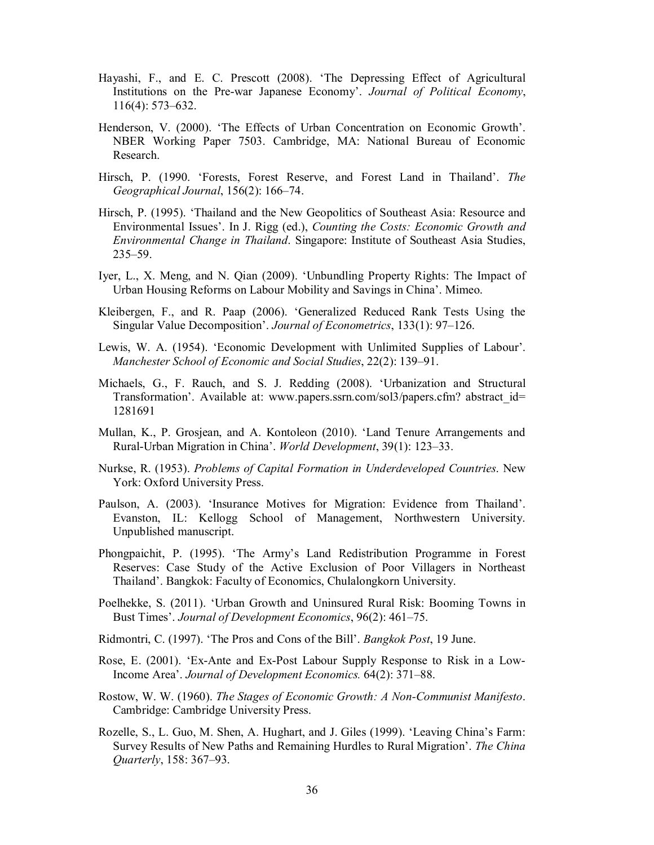- Hayashi, F., and E. C. Prescott (2008). 'The Depressing Effect of Agricultural Institutions on the Pre-war Japanese Economy'. *Journal of Political Economy*, 116(4): 573–632.
- Henderson, V. (2000). 'The Effects of Urban Concentration on Economic Growth'. NBER Working Paper 7503. Cambridge, MA: National Bureau of Economic Research.
- Hirsch, P. (1990. 'Forests, Forest Reserve, and Forest Land in Thailand'. *The Geographical Journal*, 156(2): 166–74.
- Hirsch, P. (1995). 'Thailand and the New Geopolitics of Southeast Asia: Resource and Environmental Issues'. In J. Rigg (ed.), *Counting the Costs: Economic Growth and Environmental Change in Thailand*. Singapore: Institute of Southeast Asia Studies, 235–59.
- Iyer, L., X. Meng, and N. Qian (2009). 'Unbundling Property Rights: The Impact of Urban Housing Reforms on Labour Mobility and Savings in China'. Mimeo.
- Kleibergen, F., and R. Paap (2006). 'Generalized Reduced Rank Tests Using the Singular Value Decomposition'. *Journal of Econometrics*, 133(1): 97–126.
- Lewis, W. A. (1954). 'Economic Development with Unlimited Supplies of Labour'. *Manchester School of Economic and Social Studies*, 22(2): 139–91.
- Michaels, G., F. Rauch, and S. J. Redding (2008). 'Urbanization and Structural Transformation'. Available at: www.papers.ssrn.com/sol3/papers.cfm? abstract\_id= 1281691
- Mullan, K., P. Grosjean, and A. Kontoleon (2010). 'Land Tenure Arrangements and Rural-Urban Migration in China'. *World Development*, 39(1): 123–33.
- Nurkse, R. (1953). *Problems of Capital Formation in Underdeveloped Countries*. New York: Oxford University Press.
- Paulson, A. (2003). 'Insurance Motives for Migration: Evidence from Thailand'. Evanston, IL: Kellogg School of Management, Northwestern University. Unpublished manuscript.
- Phongpaichit, P. (1995). 'The Army's Land Redistribution Programme in Forest Reserves: Case Study of the Active Exclusion of Poor Villagers in Northeast Thailand'. Bangkok: Faculty of Economics, Chulalongkorn University.
- Poelhekke, S. (2011). 'Urban Growth and Uninsured Rural Risk: Booming Towns in Bust Times'. *Journal of Development Economics*, 96(2): 461–75.
- Ridmontri, C. (1997). 'The Pros and Cons of the Bill'. *Bangkok Post*, 19 June.
- Rose, E. (2001). 'Ex-Ante and Ex-Post Labour Supply Response to Risk in a Low-Income Area'. *Journal of Development Economics.* 64(2): 371–88.
- Rostow, W. W. (1960). *The Stages of Economic Growth: A Non-Communist Manifesto*. Cambridge: Cambridge University Press.
- Rozelle, S., L. Guo, M. Shen, A. Hughart, and J. Giles (1999). 'Leaving China's Farm: Survey Results of New Paths and Remaining Hurdles to Rural Migration'. *The China Quarterly*, 158: 367–93.